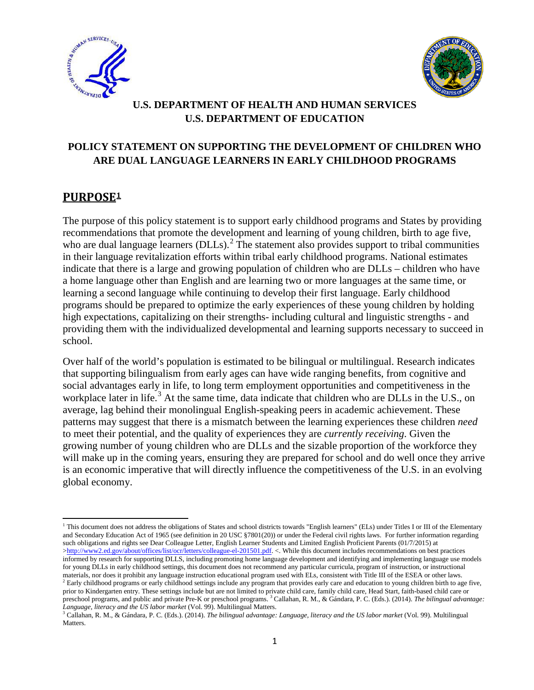



# **U.S. DEPARTMENT OF HEALTH AND HUMAN SERVICES U.S. DEPARTMENT OF EDUCATION**

# **POLICY STATEMENT ON SUPPORTING THE DEVELOPMENT OF CHILDREN WHO ARE DUAL LANGUAGE LEARNERS IN EARLY CHILDHOOD PROGRAMS**

# **PURPOS[E1](#page-0-0)**

l

The purpose of this policy statement is to support early childhood programs and States by providing recommendations that promote the development and learning of young children, birth to age five, who are dual language learners (DLLs).<sup>[2](#page-0-1)</sup> The statement also provides support to tribal communities in their language revitalization efforts within tribal early childhood programs. National estimates indicate that there is a large and growing population of children who are DLLs – children who have a home language other than English and are learning two or more languages at the same time, or learning a second language while continuing to develop their first language. Early childhood programs should be prepared to optimize the early experiences of these young children by holding high expectations, capitalizing on their strengths- including cultural and linguistic strengths - and providing them with the individualized developmental and learning supports necessary to succeed in school.

Over half of the world's population is estimated to be bilingual or multilingual. Research indicates that supporting bilingualism from early ages can have wide ranging benefits, from cognitive and social advantages early in life, to long term employment opportunities and competitiveness in the workplace later in life.<sup>[3](#page-0-2)</sup> At the same time, data indicate that children who are DLLs in the U.S., on average, lag behind their monolingual English-speaking peers in academic achievement. These patterns may suggest that there is a mismatch between the learning experiences these children *need* to meet their potential, and the quality of experiences they are *currently receiving*. Given the growing number of young children who are DLLs and the sizable proportion of the workforce they will make up in the coming years, ensuring they are prepared for school and do well once they arrive is an economic imperative that will directly influence the competitiveness of the U.S. in an evolving global economy.

<span id="page-0-0"></span><sup>1</sup> This document does not address the obligations of States and school districts towards "English learners" (ELs) under Titles I or III of the Elementary and Secondary Education Act of 1965 (see definition in 20 USC §7801(20)) or under the Federal civil rights laws. For further information regarding such obligations and rights see Dear Colleague Letter, English Learner Students and Limited English Proficient Parents (01/7/2015) at [>http://www2.ed.gov/about/offices/list/ocr/letters/colleague-el-201501.pdf.](http://www2.ed.gov/about/offices/list/ocr/letters/colleague-el-201501.pdf) <. While this document includes recommendations on best practices informed by research for supporting DLLS, including promoting home language development and identifying and implementing language use models for young DLLs in early childhood settings, this document does not recommend any particular curricula, program of instruction, or instructional materials, nor does it prohibit any language instruction educational program used with ELs, consistent with Title III of the ESEA or other laws.

<span id="page-0-1"></span> $2$  Early childhood programs or early childhood settings include any program that provides early care and education to young children birth to age five, prior to Kindergarten entry. These settings include but are not limited to private child care, family child care, Head Start, faith-based child care or preschool programs, and public and private Pre-K or preschool programs. <sup>3</sup> Callahan, R. M., & Gándara, P. C. (Eds.). (2014). *The bilingual advantage: Language, literacy and the US labor market* (Vol. 99). Multilingual Matters.

<span id="page-0-2"></span><sup>3</sup> Callahan, R. M., & Gándara, P. C. (Eds.). (2014). *The bilingual advantage: Language, literacy and the US labor market* (Vol. 99). Multilingual Matters.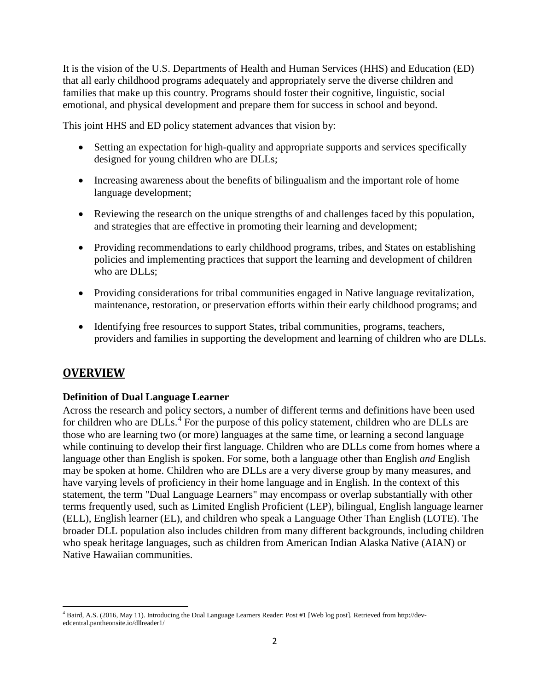It is the vision of the U.S. Departments of Health and Human Services (HHS) and Education (ED) that all early childhood programs adequately and appropriately serve the diverse children and families that make up this country. Programs should foster their cognitive, linguistic, social emotional, and physical development and prepare them for success in school and beyond.

This joint HHS and ED policy statement advances that vision by:

- Setting an expectation for high-quality and appropriate supports and services specifically designed for young children who are DLLs;
- Increasing awareness about the benefits of bilingualism and the important role of home language development;
- Reviewing the research on the unique strengths of and challenges faced by this population, and strategies that are effective in promoting their learning and development;
- Providing recommendations to early childhood programs, tribes, and States on establishing policies and implementing practices that support the learning and development of children who are DLLs:
- Providing considerations for tribal communities engaged in Native language revitalization, maintenance, restoration, or preservation efforts within their early childhood programs; and
- Identifying free resources to support States, tribal communities, programs, teachers, providers and families in supporting the development and learning of children who are DLLs.

# **OVERVIEW**

### **Definition of Dual Language Learner**

Across the research and policy sectors, a number of different terms and definitions have been used for children who are DLLs.<sup>[4](#page-1-0)</sup> For the purpose of this policy statement, children who are DLLs are those who are learning two (or more) languages at the same time, or learning a second language while continuing to develop their first language. Children who are DLLs come from homes where a language other than English is spoken. For some, both a language other than English *and* English may be spoken at home. Children who are DLLs are a very diverse group by many measures, and have varying levels of proficiency in their home language and in English. In the context of this statement, the term "Dual Language Learners" may encompass or overlap substantially with other terms frequently used, such as Limited English Proficient (LEP), bilingual, English language learner (ELL), English learner (EL), and children who speak a Language Other Than English (LOTE). The broader DLL population also includes children from many different backgrounds, including children who speak heritage languages, such as children from American Indian Alaska Native (AIAN) or Native Hawaiian communities.

<span id="page-1-0"></span><sup>4</sup> Baird, A.S. (2016, May 11). Introducing the Dual Language Learners Reader: Post #1 [Web log post]. Retrieved from http://devedcentral.pantheonsite.io/dllreader1/  $\overline{\phantom{a}}$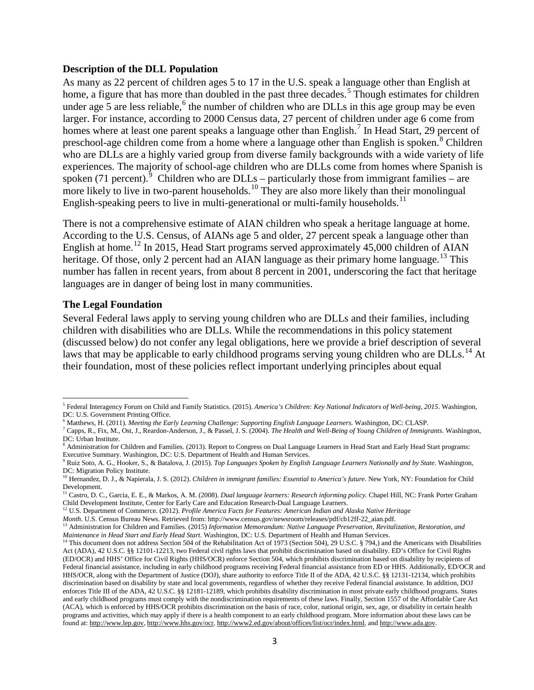#### **Description of the DLL Population**

As many as 22 percent of children ages 5 to 17 in the U.S. speak a language other than English at home, a figure that has more than doubled in the past three decades.<sup>[5](#page-2-0)</sup> Though estimates for children under age  $\overline{5}$  are less reliable,  $\overline{6}$  $\overline{6}$  $\overline{6}$  the number of children who are DLLs in this age group may be even larger. For instance, according to 2000 Census data, 27 percent of children under age 6 come from homes where at least one parent speaks a language other than English.<sup>[7](#page-2-2)</sup> In Head Start, 29 percent of preschool-age children come from a home where a language other than English is spoken.<sup>[8](#page-2-3)</sup> Children who are DLLs are a highly varied group from diverse family backgrounds with a wide variety of life experiences. The majority of school-age children who are DLLs come from homes where Spanish is spoken (71 percent).<sup>[9](#page-2-4)</sup> Children who are DLLs – particularly those from immigrant families – are more likely to live in two-parent households.<sup>[10](#page-2-5)</sup> They are also more likely than their monolingual English-speaking peers to live in multi-generational or multi-family households.<sup>[11](#page-2-6)</sup>

There is not a comprehensive estimate of AIAN children who speak a heritage language at home. According to the U.S. Census, of AIANs age 5 and older, 27 percent speak a language other than English at home.<sup>12</sup> In 2015, Head Start programs served approximately 45,000 children of AIAN heritage. Of those, only 2 percent had an AIAN language as their primary home language.<sup>[13](#page-2-8)</sup> This number has fallen in recent years, from about 8 percent in 2001, underscoring the fact that heritage languages are in danger of being lost in many communities.

#### **The Legal Foundation**

l

Several Federal laws apply to serving young children who are DLLs and their families, including children with disabilities who are DLLs. While the recommendations in this policy statement (discussed below) do not confer any legal obligations, here we provide a brief description of several laws that may be applicable to early childhood programs serving young children who are  $DLs<sup>14</sup>$  $DLs<sup>14</sup>$  $DLs<sup>14</sup>$ . At their foundation, most of these policies reflect important underlying principles about equal

<span id="page-2-0"></span><sup>5</sup> Federal Interagency Forum on Child and Family Statistics. (2015). *America's Children: Key National Indicators of Well-being, 2015*. Washington, DC: U.S. Government Printing Office.

<span id="page-2-2"></span>

<span id="page-2-1"></span><sup>&</sup>lt;sup>6</sup> Matthews, H. (2011). Meeting the Early Learning Challenge: Supporting English Language Learners. Washington, DC: CLASP.<br><sup>7</sup> Capps, R., Fix, M., Ost, J., Reardon-Anderson, J., & Passel, J. S. (2004). *The Health and We* DC: Urban Institute.

<span id="page-2-3"></span><sup>&</sup>lt;sup>8</sup> Administration for Children and Families. (2013). Report to Congress on Dual Language Learners in Head Start and Early Head Start programs: Executive Summary. Washington, DC: U.S. Department of Health and Human Services.

<span id="page-2-4"></span><sup>9</sup> Ruiz Soto, A. G., Hooker, S., & Batalova, J. (2015). *Top Languages Spoken by English Language Learners Nationally and by State*. Washington, DC: Migration Policy Institute.

<span id="page-2-5"></span><sup>&</sup>lt;sup>10</sup> Hernandez, D. J., & Napierala, J. S. (2012). *Children in immigrant families: Essential to America's future*. New York, NY: Foundation for Child Development.

<span id="page-2-6"></span><sup>11</sup> Castro, D. C., Garcia, E. E., & Markos, A. M. (2008). *Dual language learners: Research informing policy.* Chapel Hill, NC: Frank Porter Graham Child Development Institute, Center for Early Care and Education Research-Dual Language Learners.

<span id="page-2-7"></span><sup>&</sup>lt;sup>12</sup> U.S. Department of Commerce. (2012). *Profile America Facts for Features: American Indian and Alaska Native Heritage Month.* U.S. Census Bureau News. Retrieved from: http://www.census.gov/newsroom/releases/pdf/cb12ff-

<span id="page-2-8"></span><sup>&</sup>lt;sup>13</sup> Administration for Children and Families. (2015) Information Memorandum: Native Language Preservation, Revitalization, Restoration, and *Maintenance in Head Start and Early Head Start*. Washington, DC: U.S. Department of Health and Human Services.

<span id="page-2-9"></span><sup>&</sup>lt;sup>14</sup> This document does not address Section 504 of the Rehabilitation Act of 1973 (Section 504), 29 U.S.C. § 794,) and the Americans with Disabilities Act (ADA), 42 U.S.C. §§ 12101-12213, two Federal civil rights laws that prohibit discrimination based on disability. ED's Office for Civil Rights (ED/OCR) and HHS' Office for Civil Rights (HHS/OCR) enforce Section 504, which prohibits discrimination based on disability by recipients of Federal financial assistance, including in early childhood programs receiving Federal financial assistance from ED or HHS. Additionally, ED/OCR and HHS/OCR, along with the Department of Justice (DOJ), share authority to enforce Title II of the ADA, 42 U.S.C. §§ 12131-12134, which prohibits discrimination based on disability by state and local governments, regardless of whether they receive Federal financial assistance. In addition, DOJ enforces Title III of the ADA, 42 U.S.C. §§ 12181-12189, which prohibits disability discrimination in most private early childhood programs. States and early childhood programs must comply with the nondiscrimination requirements of these laws. Finally, Section 1557 of the Affordable Care Act (ACA), which is enforced by HHS/OCR prohibits discrimination on the basis of race, color, national origin, sex, age, or disability in certain health programs and activities, which may apply if there is a health component to an early childhood program. More information about these laws can be found at[: http://www.lep.gov,](http://www.lep.gov/) [http://www.hhs.gov/ocr,](http://www.hhs.gov/ocr) [http://www2.ed.gov/about/offices/list/ocr/index.html,](http://www2.ed.gov/about/offices/list/ocr/index.html) an[d http://www.ada.gov.](http://www.ada.gov/)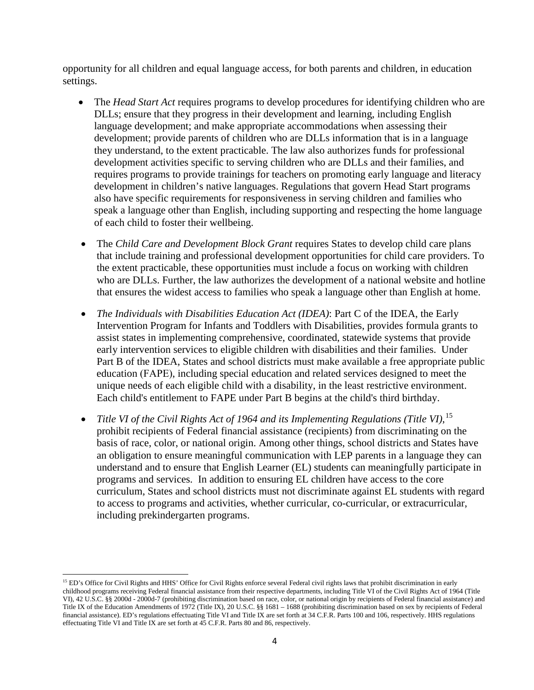opportunity for all children and equal language access, for both parents and children, in education settings.

- The *Head Start Act* requires programs to develop procedures for identifying children who are DLLs; ensure that they progress in their development and learning, including English language development; and make appropriate accommodations when assessing their development; provide parents of children who are DLLs information that is in a language they understand, to the extent practicable. The law also authorizes funds for professional development activities specific to serving children who are DLLs and their families, and requires programs to provide trainings for teachers on promoting early language and literacy development in children's native languages. Regulations that govern Head Start programs also have specific requirements for responsiveness in serving children and families who speak a language other than English, including supporting and respecting the home language of each child to foster their wellbeing.
- The *Child Care and Development Block Grant* requires States to develop child care plans that include training and professional development opportunities for child care providers. To the extent practicable, these opportunities must include a focus on working with children who are DLLs. Further, the law authorizes the development of a national website and hotline that ensures the widest access to families who speak a language other than English at home.
- *The Individuals with Disabilities Education Act (IDEA)*: Part C of the IDEA, the Early Intervention Program for Infants and Toddlers with Disabilities, provides formula grants to assist states in implementing comprehensive, coordinated, statewide systems that provide early intervention services to eligible children with disabilities and their families. Under Part B of the IDEA, States and school districts must make available a free appropriate public education (FAPE), including special education and related services designed to meet the unique needs of each eligible child with a disability, in the least restrictive environment. Each child's entitlement to FAPE under Part B begins at the child's third birthday.
- *Title VI of the Civil Rights Act of 1964 and its Implementing Regulations (Title VI)*, [15](#page-3-0) prohibit recipients of Federal financial assistance (recipients) from discriminating on the basis of race, color, or national origin. Among other things, school districts and States have an obligation to ensure meaningful communication with LEP parents in a language they can understand and to ensure that English Learner (EL) students can meaningfully participate in programs and services. In addition to ensuring EL children have access to the core curriculum, States and school districts must not discriminate against EL students with regard to access to programs and activities, whether curricular, co-curricular, or extracurricular, including prekindergarten programs.

<span id="page-3-0"></span><sup>&</sup>lt;sup>15</sup> ED's Office for Civil Rights and HHS' Office for Civil Rights enforce several Federal civil rights laws that prohibit discrimination in early childhood programs receiving Federal financial assistance from their respective departments, including Title VI of the Civil Rights Act of 1964 (Title VI), 42 U.S.C. §§ 2000d - 2000d-7 (prohibiting discrimination based on race, color, or national origin by recipients of Federal financial assistance) and Title IX of the Education Amendments of 1972 (Title IX), 20 U.S.C. §§ 1681 – 1688 (prohibiting discrimination based on sex by recipients of Federal financial assistance). ED's regulations effectuating Title VI and Title IX are set forth at 34 C.F.R. Parts 100 and 106, respectively. HHS regulations effectuating Title VI and Title IX are set forth at 45 C.F.R. Parts 80 and 86, respectively.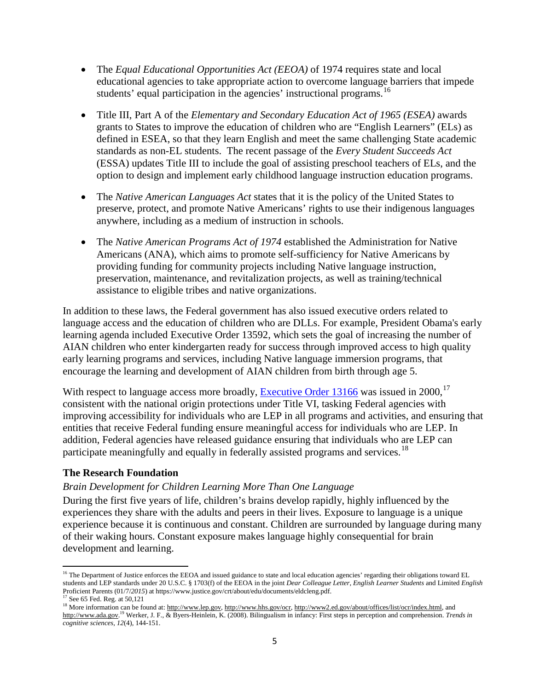- The *Equal Educational Opportunities Act (EEOA)* of 1974 requires state and local educational agencies to take appropriate action to overcome language barriers that impede students' equal participation in the agencies' instructional programs.<sup>[16](#page-4-0)</sup>
- Title III, Part A of the *Elementary and Secondary Education Act of 1965 (ESEA)* awards grants to States to improve the education of children who are "English Learners" (ELs) as defined in ESEA, so that they learn English and meet the same challenging State academic standards as non-EL students. The recent passage of the *Every Student Succeeds Act* (ESSA) updates Title III to include the goal of assisting preschool teachers of ELs, and the option to design and implement early childhood language instruction education programs.
- The *Native American Languages Act* states that it is the policy of the United States to preserve, protect, and promote Native Americans' rights to use their indigenous languages anywhere, including as a medium of instruction in schools.
- The *Native American Programs Act of 1974* established the Administration for Native Americans (ANA), which aims to promote self-sufficiency for Native Americans by providing funding for community projects including Native language instruction, preservation, maintenance, and revitalization projects, as well as training/technical assistance to eligible tribes and native organizations.

In addition to these laws, the Federal government has also issued executive orders related to language access and the education of children who are DLLs. For example, President Obama's early learning agenda included Executive Order 13592, which sets the goal of increasing the number of AIAN children who enter kindergarten ready for success through improved access to high quality early learning programs and services, including Native language immersion programs, that encourage the learning and development of AIAN children from birth through age 5.

With respect to language access more broadly, **Executive Order 13166** was issued in 2000,<sup>[17](#page-4-1)</sup> consistent with the national origin protections under Title VI, tasking Federal agencies with improving accessibility for individuals who are LEP in all programs and activities, and ensuring that entities that receive Federal funding ensure meaningful access for individuals who are LEP. In addition, Federal agencies have released guidance ensuring that individuals who are LEP can participate meaningfully and equally in federally assisted programs and services.<sup>[18](#page-4-2)</sup>

### **The Research Foundation**

### *Brain Development for Children Learning More Than One Language*

During the first five years of life, children's brains develop rapidly, highly influenced by the experiences they share with the adults and peers in their lives. Exposure to language is a unique experience because it is continuous and constant. Children are surrounded by language during many of their waking hours. Constant exposure makes language highly consequential for brain development and learning.

<span id="page-4-0"></span><sup>&</sup>lt;sup>16</sup> The Department of Justice enforces the EEOA and issued guidance to state and local education agencies' regarding their obligations toward EL students and LEP standards under 20 U.S.C. § 1703(f) of the EEOA in the joint *Dear Colleague Letter*, *English Learner Students* and Limited *English* Proficient Parents (01/7/*2015*) at https://www.justice.gov/crt/about/edu/documents/eldcleng.pdf. <sup>17</sup> See 65 Fed. Reg. at 50,121

<span id="page-4-2"></span><span id="page-4-1"></span><sup>&</sup>lt;sup>18</sup> More information can be found at[: http://www.lep.gov,](http://www.lep.gov/) [http://www.hhs.gov/ocr,](http://www.hhs.gov/ocr) [http://www2.ed.gov/about/offices/list/ocr/index.html,](http://www2.ed.gov/about/offices/list/ocr/index.html) and [http://www.ada.gov.](http://www.ada.gov/) <sup>19</sup> Werker, J. F., & Byers-Heinlein, K. (2008). Bilingualism in infancy: First steps in perception and comprehension. *Trends in cognitive sciences*, *12*(4), 144-151.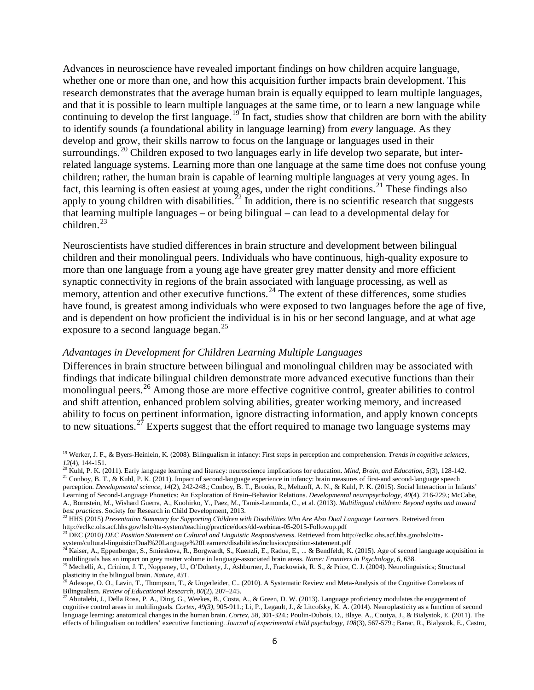Advances in neuroscience have revealed important findings on how children acquire language, whether one or more than one, and how this acquisition further impacts brain development. This research demonstrates that the average human brain is equally equipped to learn multiple languages, and that it is possible to learn multiple languages at the same time, or to learn a new language while continuing to develop the first language.<sup>19</sup> In fact, studies show that children are born with the ability to identify sounds (a foundational ability in language learning) from *every* language. As they develop and grow, their skills narrow to focus on the language or languages used in their surroundings.<sup>[20](#page-5-1)</sup> Children exposed to two languages early in life develop two separate, but interrelated language systems. Learning more than one language at the same time does not confuse young children; rather, the human brain is capable of learning multiple languages at very young ages. In fact, this learning is often easiest at young ages, under the right conditions.<sup>21</sup> These findings also apply to young children with disabilities.<sup>[22](#page-5-3)</sup> In addition, there is no scientific research that suggests that learning multiple languages – or being bilingual – can lead to a developmental delay for children.<sup>[23](#page-5-4)</sup>

Neuroscientists have studied differences in brain structure and development between bilingual children and their monolingual peers. Individuals who have continuous, high-quality exposure to more than one language from a young age have greater grey matter density and more efficient synaptic connectivity in regions of the brain associated with language processing, as well as memory, attention and other executive functions.<sup>[24](#page-5-5)</sup> The extent of these differences, some studies have found, is greatest among individuals who were exposed to two languages before the age of five, and is dependent on how proficient the individual is in his or her second language, and at what age exposure to a second language began.<sup>25</sup>

#### *Advantages in Development for Children Learning Multiple Languages*

 $\overline{\phantom{a}}$ 

Differences in brain structure between bilingual and monolingual children may be associated with findings that indicate bilingual children demonstrate more advanced executive functions than their monolingual peers.<sup>[26](#page-5-7)</sup> Among those are more effective cognitive control, greater abilities to control and shift attention, enhanced problem solving abilities, greater working memory, and increased ability to focus on pertinent information, ignore distracting information, and apply known concepts to new situations.<sup>[27](#page-5-8)</sup> Experts suggest that the effort required to manage two language systems may

<span id="page-5-0"></span><sup>19</sup> Werker, J. F., & Byers-Heinlein, K. (2008). Bilingualism in infancy: First steps in perception and comprehension. *Trends in cognitive sciences*,

<span id="page-5-2"></span><span id="page-5-1"></span>*<sup>12</sup>*(4), 144-151. <sup>20</sup> Kuhl, P. K. (2011). Early language learning and literacy: neuroscience implications for education. *Mind, Brain, and Education*, *5*(3), 128-142. <sup>21</sup> Conboy, B. T., & Kuhl, P. K. (2011). Impact of second-language experience in infancy: brain measures of first-and second-language speech perception. *Developmental science*, *14*(2), 242-248.; Conboy, B. T., Brooks, R., Meltzoff, A. N., & Kuhl, P. K. (2015). Social Interaction in Infants'

Learning of Second-Language Phonetics: An Exploration of Brain–Behavior Relations. *Developmental neuropsychology*, *40*(4), 216-229.; McCabe, A., Bornstein, M., Wishard Guerra, A., Kuohirko, Y., Paez, M., Tamis-Lemonda, C., et al. (2013). *Multilingual children: Beyond myths and toward best practices*. Society for Research in Child Development, 2013.

<span id="page-5-3"></span><sup>22</sup> HHS (2015) *Presentation Summary for Supporting Children with Disabilities Who Are Also Dual Language Learners.* Retreived from http://eclkc.ohs.acf.hhs.gov/hslc/tta-system/teaching/practice/docs/dd-webinar-05-2015-Followup.pdf

<span id="page-5-4"></span><sup>&</sup>lt;sup>23</sup> DEC (2010) *DEC Position Statement on Cultural and Linguistic Responsiveness.* Retrieved from http://eclkc.ohs.acf.hhs.gov/hslc/ttasystem/cultural-linguistic/Dual%20Language%20Learners/disabilities/inclusion/position-statement.pdf<br><sup>24</sup> Kaiser, A., Eppenberger, S., Smieskova, R., Borgwardt, S., Kuenzli, E., Radue, E., ... & Bendfeldt, K. (2015). Age of

<span id="page-5-5"></span>multilinguals has an impact on grey matter volume in language-associated brain areas. *Name: Frontiers in Psychology*, *6*, 638.

<span id="page-5-6"></span><sup>&</sup>lt;sup>25</sup> Mechelli, A., Crinion, J. T., Noppeney, U., O'Doherty, J., Ashburner, J., Frackowiak, R. S., & Price, C. J. (2004). Neurolinguistics; Structural

<span id="page-5-7"></span>plasticitiy in the bilingual brain. *Nature, 431*.<br><sup>26</sup> Adesope, O. O., Lavin, T., Thompson, T., & Ungerleider, C.. (2010). A Systematic Review and Meta-Analysis of the Cognitive Correlates of<br>Bilingualism. *Review of Educ* 

<span id="page-5-8"></span><sup>&</sup>lt;sup>27</sup> Abutalebi, J., Della Rosa, P. A., Ding, G., Weekes, B., Costa, A., & Green, D. W. (2013). Language proficiency modulates the engagement of cognitive control areas in multilinguals. *Cortex, 49(3)*, 905-911.; Li, P., Legault, J., & Litcofsky, K. A. (2014). Neuroplasticity as a function of second language learning: anatomical changes in the human brain. *Cortex*, *58*, 301-324.; Poulin-Dubois, D., Blaye, A., Coutya, J., & Bialystok, E. (2011). The effects of bilingualism on toddlers' executive functioning. *Journal of experimental child psychology*, *108*(3), 567-579.; Barac, R., Bialystok, E., Castro,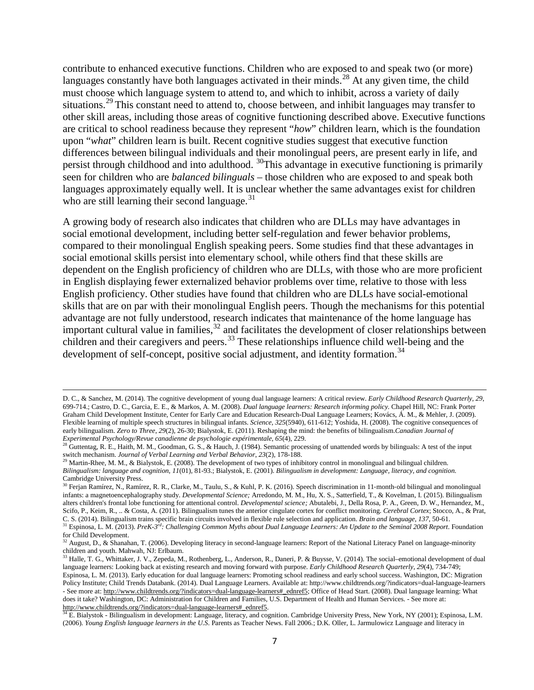contribute to enhanced executive functions. Children who are exposed to and speak two (or more) languages constantly have both languages activated in their minds.<sup>[28](#page-6-0)</sup> At any given time, the child must choose which language system to attend to, and which to inhibit, across a variety of daily situations.<sup>[29](#page-6-1)</sup> This constant need to attend to, choose between, and inhibit languages may transfer to other skill areas, including those areas of cognitive functioning described above. Executive functions are critical to school readiness because they represent "*how*" children learn, which is the foundation upon "*what*" children learn is built. Recent cognitive studies suggest that executive function differences between bilingual individuals and their monolingual peers, are present early in life, and persist through childhood and into adulthood. [30](#page-6-2)This advantage in executive functioning is primarily seen for children who are *balanced bilinguals* – those children who are exposed to and speak both languages approximately equally well. It is unclear whether the same advantages exist for children who are still learning their second language. $31$ 

A growing body of research also indicates that children who are DLLs may have advantages in social emotional development, including better self-regulation and fewer behavior problems, compared to their monolingual English speaking peers. Some studies find that these advantages in social emotional skills persist into elementary school, while others find that these skills are dependent on the English proficiency of children who are DLLs, with those who are more proficient in English displaying fewer externalized behavior problems over time, relative to those with less English proficiency. Other studies have found that children who are DLLs have social-emotional skills that are on par with their monolingual English peers. Though the mechanisms for this potential advantage are not fully understood, research indicates that maintenance of the home language has important cultural value in families,  $32$  and facilitates the development of closer relationships between children and their caregivers and peers.<sup>[33](#page-6-5)</sup> These relationships influence child well-being and the development of self-concept, positive social adjustment, and identity formation.<sup>[34](#page-6-6)</sup>

 $\overline{\phantom{a}}$ 

D. C., & Sanchez, M. (2014). The cognitive development of young dual language learners: A critical review. *Early Childhood Research Quarterly, 29*, 699-714.; Castro, D. C., Garcia, E. E., & Markos, A. M. (2008). *Dual language learners: Research informing policy.* Chapel Hill, NC: Frank Porter Graham Child Development Institute, Center for Early Care and Education Research-Dual Language Learners; Kovács, Á. M., & Mehler, J. (2009). Flexible learning of multiple speech structures in bilingual infants. *Science*, *325*(5940), 611-612; Yoshida, H. (2008). The cognitive consequences of early bilingualism. *Zero to Three*, *29*(2), 26-30; Bialystok, E. (2011). Reshaping the mind: the benefits of bilingualism.*Canadian Journal of* 

<span id="page-6-0"></span>Experimental Psychology/Revue canadienne de psychologie expérimentale, 65(4), 229.<br><sup>28</sup> Guttentag, R. E., Haith, M. M., Goodman, G. S., & Hauch, J. (1984). Semantic processing of unattended words by bilinguals: A test of t switch mechanism. *Journal of Verbal Learning and Verbal Behavior*, *23*(2), 178-188.

<span id="page-6-1"></span><sup>&</sup>lt;sup>29</sup> Martin-Rhee, M. M., & Bialystok, E. (2008). The development of two types of inhibitory control in monolingual and bilingual children. *Bilingualism: language and cognition*, *11*(01), 81-93.; Bialystok, E. (2001). *Bilingualism in development: Language, literacy, and cognition*. Cambridge University Press.

<span id="page-6-2"></span><sup>&</sup>lt;sup>30</sup> Ferjan Ramírez, N., Ramírez, R. R., Clarke, M., Taulu, S., & Kuhl, P. K. (2016). Speech discrimination in 11-month-old bilingual and monolingual infants: a magnetoencephalography study. *Developmental Science;* Arredondo, M. M., Hu, X. S., Satterfield, T., & Kovelman, I. (2015). Bilingualism alters children's frontal lobe functioning for attentional control. *Developmental science;* Abutalebi, J., Della Rosa, P. A., Green, D. W., Hernandez, M., Scifo, P., Keim, R., .. & Costa, A. (2011). Bilingualism tunes the anterior cingulate cortex for conflict monitoring. *Cerebral Cortex*; Stocco, A., & Prat,

<span id="page-6-3"></span>C. S. (2014). Bilingualism trains specific brain circuits involved in flexible rule selection and application. *Brain and language*, 137, 50-61.<br><sup>31</sup> Espinosa, L. M. (2013). *PreK-3<sup>rd</sup>: Challenging Common Myths about Dual* for Child Development.

<span id="page-6-4"></span><sup>&</sup>lt;sup>32</sup> August, D., & Shanahan, T. (2006). Developing literacy in second-language learners: Report of the National Literacy Panel on language-minority children and youth. Mahwah, NJ: Erlbaum.

<span id="page-6-5"></span><sup>&</sup>lt;sup>33</sup> Halle, T. G., Whittaker, J. V., Zepeda, M., Rothenberg, L., Anderson, R., Daneri, P. & Buysse, V. (2014). The social–emotional development of dual language learners: Looking back at existing research and moving forward with purpose. *Early Childhood Research Quarterly*, *29*(4), 734-749; Espinosa, L. M. (2013). Early education for dual language learners: Promoting school readiness and early school success. Washington, DC: Migration Policy Institute; Child Trends Databank. (2014). Dual Language Learners. Available at: http://www.childtrends.org/?indicators=dual-language-learners - See more at[: http://www.childtrends.org/?indicators=dual-language-learners#\\_ednref5;](http://www.childtrends.org/?indicators=dual-language-learners%23_ednref5) Office of Head Start. (2008). Dual language learning: What does it take? Washington, DC: Administration for Children and Families, U.S. Department of Health and Human Services. - See more at:<br>http://www.childtrends.org/?indicators=dual-language-learners#\_ednref5.

<span id="page-6-6"></span><sup>&</sup>lt;sup>t</sup> E. Bialystok - Bilingualism in development: Language, literacy, and cognition. Cambridge University Press, New York, NY (2001); Espinosa, L.M. (2006). *Young English language learners in the U.S*. Parents as Teacher News. Fall 2006.; D.K. Oller, L. Jarmulowicz Language and literacy in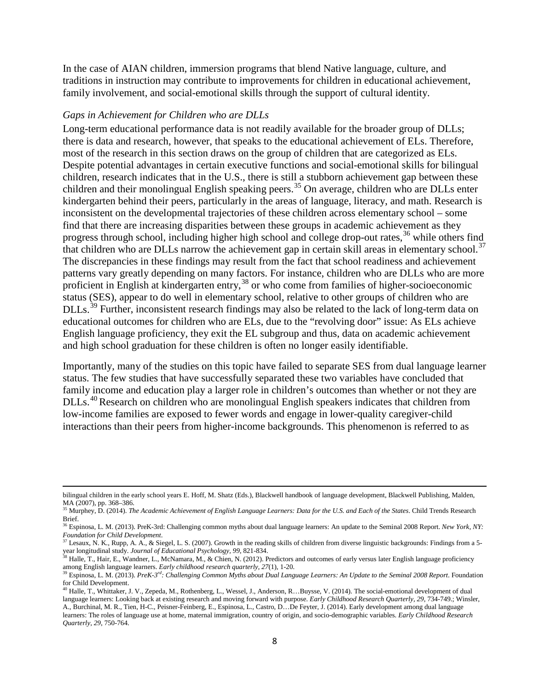In the case of AIAN children, immersion programs that blend Native language, culture, and traditions in instruction may contribute to improvements for children in educational achievement, family involvement, and social-emotional skills through the support of cultural identity.

#### *Gaps in Achievement for Children who are DLLs*

 $\overline{\phantom{a}}$ 

Long-term educational performance data is not readily available for the broader group of DLLs; there is data and research, however, that speaks to the educational achievement of ELs. Therefore, most of the research in this section draws on the group of children that are categorized as ELs. Despite potential advantages in certain executive functions and social-emotional skills for bilingual children, research indicates that in the U.S., there is still a stubborn achievement gap between these children and their monolingual English speaking peers.<sup>35</sup> On average, children who are DLLs enter kindergarten behind their peers, particularly in the areas of language, literacy, and math. Research is inconsistent on the developmental trajectories of these children across elementary school – some find that there are increasing disparities between these groups in academic achievement as they progress through school, including higher high school and college drop-out rates,<sup>36</sup> while others find that children who are DLLs narrow the achievement gap in certain skill areas in elementary school.<sup>[37](#page-7-2)</sup> The discrepancies in these findings may result from the fact that school readiness and achievement patterns vary greatly depending on many factors. For instance, children who are DLLs who are more proficient in English at kindergarten entry,[38](#page-7-3) or who come from families of higher-socioeconomic status (SES), appear to do well in elementary school, relative to other groups of children who are DLLs.<sup>39</sup> Further, inconsistent research findings may also be related to the lack of long-term data on educational outcomes for children who are ELs, due to the "revolving door" issue: As ELs achieve English language proficiency, they exit the EL subgroup and thus, data on academic achievement and high school graduation for these children is often no longer easily identifiable.

Importantly, many of the studies on this topic have failed to separate SES from dual language learner status. The few studies that have successfully separated these two variables have concluded that family income and education play a larger role in children's outcomes than whether or not they are DLLs.<sup>[40](#page-7-5)</sup> Research on children who are monolingual English speakers indicates that children from low-income families are exposed to fewer words and engage in lower-quality caregiver-child interactions than their peers from higher-income backgrounds. This phenomenon is referred to as

bilingual children in the early school years E. Hoff, M. Shatz (Eds.), Blackwell handbook of language development, Blackwell Publishing, Malden, MA (2007), pp. 368-386.

<span id="page-7-0"></span><sup>&</sup>lt;sup>35</sup> Murphey, D. (2014). *The Academic Achievement of English Language Learners: Data for the U.S. and Each of the States. Child Trends Research* Brief.

<span id="page-7-1"></span><sup>&</sup>lt;sup>36</sup> Espinosa, L. M. (2013). PreK-3rd: Challenging common myths about dual language learners: An update to the Seminal 2008 Report. *New York*, NY: *Foundation for Child Development*.

<span id="page-7-2"></span><sup>&</sup>lt;sup>37</sup> Lesaux, N. K., Rupp, A. A., & Siegel, L. S. (2007). Growth in the reading skills of children from diverse linguistic backgrounds: Findings from a 5year longitudinal study. *Journal of Educational Psychology, 99*, 821-834.

<span id="page-7-3"></span><sup>&</sup>lt;sup>38</sup> Halle, T., Hair, E., Wandner, L., McNamara, M., & Chien, N. (2012). Predictors and outcomes of early versus later English language proficiency among English language learners. *Early childhood research quarterly*, 27(1), 1-20.<br><sup>39</sup> Espinosa, L. M. (2013). PreK-3<sup>rd</sup>: Challenging Common Myths about Dual Language Learners: An Update to the Seminal 2008 Report. Foun

<span id="page-7-4"></span>for Child Development.

<span id="page-7-5"></span> $^{40}$  Halle, T., Whittaker, J. V., Zepeda, M., Rothenberg, L., Wessel, J., Anderson, R., Buysse, V. (2014). The social-emotional development of dual language learners: Looking back at existing research and moving forward with purpose. *Early Childhood Research Quarterly, 29*, 734-749.; Winsler, A., Burchinal, M. R., Tien, H-C., Peisner-Feinberg, E., Espinosa, L., Castro, D…De Feyter, J. (2014). Early development among dual language learners: The roles of language use at home, maternal immigration, country of origin, and socio-demographic variables. *Early Childhood Research Quarterly, 29*, 750-764.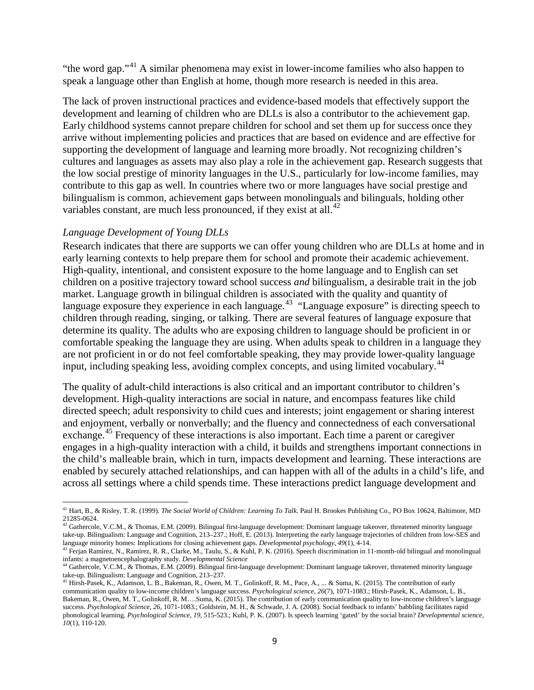"the word gap."[41](#page-8-0) A similar phenomena may exist in lower-income families who also happen to speak a language other than English at home, though more research is needed in this area.

The lack of proven instructional practices and evidence-based models that effectively support the development and learning of children who are DLLs is also a contributor to the achievement gap. Early childhood systems cannot prepare children for school and set them up for success once they arrive without implementing policies and practices that are based on evidence and are effective for supporting the development of language and learning more broadly. Not recognizing children's cultures and languages as assets may also play a role in the achievement gap. Research suggests that the low social prestige of minority languages in the U.S., particularly for low-income families, may contribute to this gap as well. In countries where two or more languages have social prestige and bilingualism is common, achievement gaps between monolinguals and bilinguals, holding other variables constant, are much less pronounced, if they exist at all. $^{42}$  $^{42}$  $^{42}$ 

### *Language Development of Young DLLs*

Research indicates that there are supports we can offer young children who are DLLs at home and in early learning contexts to help prepare them for school and promote their academic achievement. High-quality, intentional, and consistent exposure to the home language and to English can set children on a positive trajectory toward school success *and* bilingualism, a desirable trait in the job market. Language growth in bilingual children is associated with the quality and quantity of language exposure they experience in each language.<sup>43</sup> "Language exposure" is directing speech to children through reading, singing, or talking. There are several features of language exposure that determine its quality. The adults who are exposing children to language should be proficient in or comfortable speaking the language they are using. When adults speak to children in a language they are not proficient in or do not feel comfortable speaking, they may provide lower-quality language input, including speaking less, avoiding complex concepts, and using limited vocabulary.<sup>[44](#page-8-3)</sup>

The quality of adult-child interactions is also critical and an important contributor to children's development. High-quality interactions are social in nature, and encompass features like child directed speech; adult responsivity to child cues and interests; joint engagement or sharing interest and enjoyment, verbally or nonverbally; and the fluency and connectedness of each conversational exchange.<sup>[45](#page-8-4)</sup> Frequency of these interactions is also important. Each time a parent or caregiver engages in a high-quality interaction with a child, it builds and strengthens important connections in the child's malleable brain, which in turn, impacts development and learning. These interactions are enabled by securely attached relationships, and can happen with all of the adults in a child's life, and across all settings where a child spends time. These interactions predict language development and

<span id="page-8-0"></span><sup>41</sup> Hart, B., & Risley, T. R. (1999). *The Social World of Children: Learning To Talk*. Paul H. Brookes Publishing Co., PO Box 10624, Baltimore, MD 21285-0624.  $\overline{\phantom{a}}$ 

<span id="page-8-1"></span> $^{42}$  Gathercole, V.C.M., & Thomas, E.M. (2009). Bilingual first-language development: Dominant language takeover, threatened minority language take-up. Bilingualism: Language and Cognition, 213–237.; Hoff, E. (2013). Interpreting the early language trajectories of children from low-SES and language minority homes: Implications for closing achievement gaps. *Developmental psychology*, *49*(1), 4-14.

<span id="page-8-2"></span> $^{43}$  Ferjan Ramírez, N., Ramírez, R. R., Clarke, M., Taulu, S., & Kuhl, P. K. (2016). Speech discrimination in 11-month-old bilingual and monolingual infants: a magnetoencephalography study. *Developmental Science*

<span id="page-8-3"></span><sup>&</sup>lt;sup>44</sup> Gathercole, V.C.M., & Thomas, E.M. (2009). Bilingual first-language development: Dominant language takeover, threatened minority language take-up. Bilingualism: Language and Cognition, 213–237.

<span id="page-8-4"></span><sup>&</sup>lt;sup>45</sup> Hirsh-Pasek, K., Adamson, L. B., Bakeman, R., Owen, M. T., Golinkoff, R. M., Pace, A., ... & Suma, K. (2015). The contribution of early communication quality to low-income children's language success. *Psychological science*, *26*(7), 1071-1083.; Hirsh-Pasek, K., Adamson, L. B., Bakeman, R., Owen, M. T., Golinkoff, R. M….Suma, K. (2015). The contribution of early communication quality to low-income children's language success. *Psychological Science, 26*, 1071-1083.; Goldstein, M. H., & Schwade, J. A. (2008). Social feedback to infants' babbling facilitates rapid phonological learning. *Psychological Science, 19*, 515-523.; Kuhl, P. K. (2007). Is speech learning 'gated' by the social brain? *Developmental science*, *10*(1), 110-120.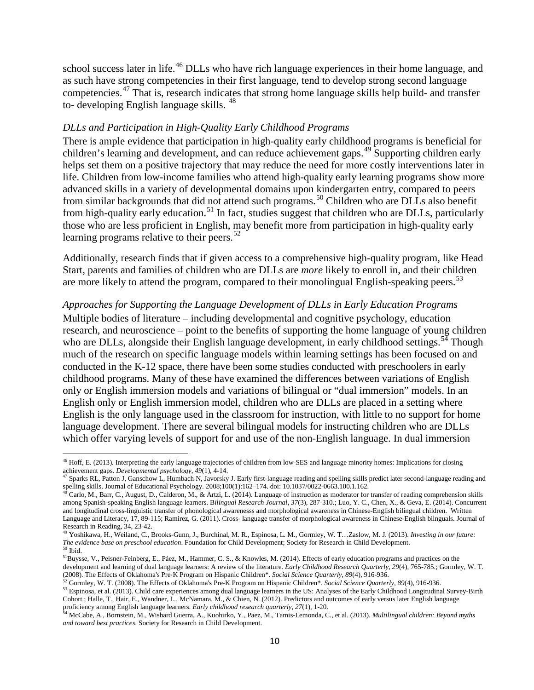school success later in life.<sup>46</sup> DLLs who have rich language experiences in their home language, and as such have strong competencies in their first language, tend to develop strong second language competencies.[47](#page-9-1) That is, research indicates that strong home language skills help build- and transfer to- developing English language skills. <sup>[48](#page-9-2)</sup>

#### *DLLs and Participation in High-Quality Early Childhood Programs*

There is ample evidence that participation in high-quality early childhood programs is beneficial for children's learning and development, and can reduce achievement gaps.<sup>49</sup> Supporting children early helps set them on a positive trajectory that may reduce the need for more costly interventions later in life. Children from low-income families who attend high-quality early learning programs show more advanced skills in a variety of developmental domains upon kindergarten entry, compared to peers from similar backgrounds that did not attend such programs.<sup>50</sup> Children who are DLLs also benefit from high-quality early education.<sup>[51](#page-9-5)</sup> In fact, studies suggest that children who are DLLs, particularly those who are less proficient in English, may benefit more from participation in high-quality early learning programs relative to their peers. $52$ 

Additionally, research finds that if given access to a comprehensive high-quality program, like Head Start, parents and families of children who are DLLs are *more* likely to enroll in, and their children are more likely to attend the program, compared to their monolingual English-speaking peers.<sup>[53](#page-9-7)</sup>

#### *Approaches for Supporting the Language Development of DLLs in Early Education Programs*

Multiple bodies of literature – including developmental and cognitive psychology, education research, and neuroscience – point to the benefits of supporting the home language of young children who are DLLs, alongside their English language development, in early childhood settings.<sup>54</sup> Though much of the research on specific language models within learning settings has been focused on and conducted in the K-12 space, there have been some studies conducted with preschoolers in early childhood programs. Many of these have examined the differences between variations of English only or English immersion models and variations of bilingual or "dual immersion" models. In an English only or English immersion model, children who are DLLs are placed in a setting where English is the only language used in the classroom for instruction, with little to no support for home language development. There are several bilingual models for instructing children who are DLLs which offer varying levels of support for and use of the non-English language. In dual immersion

<span id="page-9-0"></span><sup>&</sup>lt;sup>46</sup> Hoff, E. (2013). Interpreting the early language trajectories of children from low-SES and language minority homes: Implications for closing achievement gaps. *Developmental psychology*,  $49(1)$ ,  $4-14$ .

<span id="page-9-1"></span>Sparks RL, Patton J, Ganschow L, Humbach N, Javorsky J. Early first-language reading and spelling skills predict later second-language reading and spelling skills. Journal of Educational Psychology. 2008;100(1):162–174. doi: 10.1037/0022-0663.100.1.162.

<span id="page-9-2"></span><sup>&</sup>lt;sup>48</sup> Carlo, M., Barr, C., August, D., Calderon, M., & Artzi, L. (2014). Language of instruction as moderator for transfer of reading comprehension skills among Spanish-speaking English language learners. B*ilingual Research Journal*, *37*(3), 287-310.; Luo, Y. C., Chen, X., & Geva, E. (2014). Concurrent and longitudinal cross-linguistic transfer of phonological awarenesss and morphological awareness in Chinese-English bilingual children. Written Language and Literacy, 17, 89-115; Ramirez, G. (2011). Cross- language transfer of morphological awareness in Chinese-English bilnguals. Journal of Research in Reading, 34, 23-42.

<span id="page-9-3"></span><sup>49</sup> Yoshikawa, H., Weiland, C., Brooks-Gunn, J., Burchinal, M. R., Espinosa, L. M., Gormley, W. T…Zaslow, M. J. (2013). *Investing in our future: The evidence base on preschool education*. Foundation for Child Development; Society for Research in Child Development. <sup>50</sup> Ibid.

<span id="page-9-5"></span><span id="page-9-4"></span><sup>51</sup>Buysse, V., Peisner-Feinberg, E., Páez, M., Hammer, C. S., & Knowles, M. (2014). Effects of early education programs and practices on the development and learning of dual language learners: A review of the literature. *Early Childhood Research Quarterly*, *29*(4), 765-785.; Gormley, W. T.

<span id="page-9-7"></span><span id="page-9-6"></span>

<sup>(2008).</sup> The Effects of Oklahoma's Pre-K Program on Hispanic Children\*. Social Science Quarterly, 89(4), 916-936.<br><sup>52</sup> Gormley, W. T. (2008). The Effects of Oklahoma's Pre-K Program on Hispanic Children\*. Social Science Qua Cohort.; Halle, T., Hair, E., Wandner, L., McNamara, M., & Chien, N. (2012). Predictors and outcomes of early versus later English language proficiency among English language learners. *Early childhood research quarterly*,

<span id="page-9-8"></span>McCabe, A., Bornstein, M., Wishard Guerra, A., Kuohirko, Y., Paez, M., Tamis-Lemonda, C., et al. (2013). Multilingual children: Beyond myths *and toward best practices*. Society for Research in Child Development.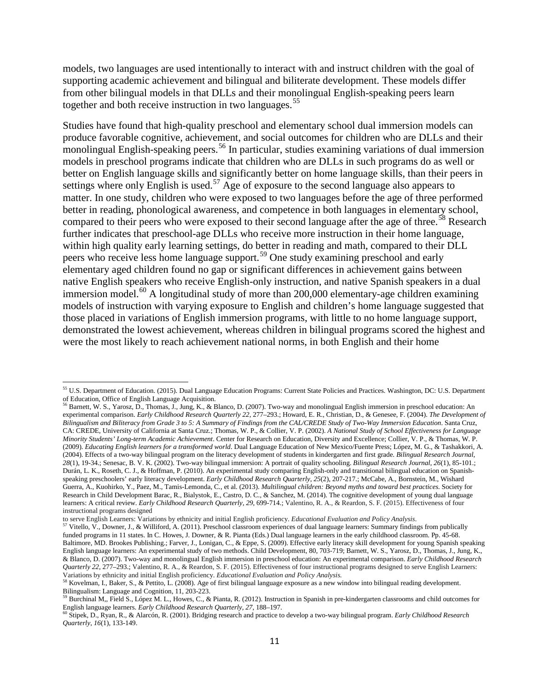models, two languages are used intentionally to interact with and instruct children with the goal of supporting academic achievement and bilingual and biliterate development. These models differ from other bilingual models in that DLLs and their monolingual English-speaking peers learn together and both receive instruction in two languages.<sup>[55](#page-10-0)</sup>

Studies have found that high-quality preschool and elementary school dual immersion models can produce favorable cognitive, achievement, and social outcomes for children who are DLLs and their monolingual English-speaking peers.<sup>56</sup> In particular, studies examining variations of dual immersion models in preschool programs indicate that children who are DLLs in such programs do as well or better on English language skills and significantly better on home language skills, than their peers in settings where only English is used.<sup>57</sup> Age of exposure to the second language also appears to matter. In one study, children who were exposed to two languages before the age of three performed better in reading, phonological awareness, and competence in both languages in elementary school, compared to their peers who were exposed to their second language after the age of three.<sup>[58](#page-10-3)</sup> Research further indicates that preschool-age DLLs who receive more instruction in their home language, within high quality early learning settings, do better in reading and math, compared to their DLL peers who receive less home language support.[59](#page-10-4) One study examining preschool and early elementary aged children found no gap or significant differences in achievement gains between native English speakers who receive English-only instruction, and native Spanish speakers in a dual immersion model.<sup>[60](#page-10-5)</sup> A longitudinal study of more than 200,000 elementary-age children examining models of instruction with varying exposure to English and children's home language suggested that those placed in variations of English immersion programs, with little to no home language support, demonstrated the lowest achievement, whereas children in bilingual programs scored the highest and were the most likely to reach achievement national norms, in both English and their home

<span id="page-10-0"></span><sup>55</sup> U.S. Department of Education. (2015). Dual Language Education Programs: Current State Policies and Practices. Washington, DC: U.S. Department of Education, Office of English Language Acquisition.

<span id="page-10-1"></span><sup>56</sup> Barnett, W. S., Yarosz, D., Thomas, J., Jung, K., & Blanco, D. (2007). Two-way and monolingual English immersion in preschool education: An experimental comparison. *Early Childhood Research Quarterly 22*, 277–293.; Howard, E. R., Christian, D., & Genesee, F. (2004). *The Development of Bilingualism and Biliteracy from Grade 3 to 5: A Summary of Findings from the CAL/CREDE Study of Two-Way Immersion Education*. Santa Cruz, CA: CREDE, University of California at Santa Cruz.; Thomas, W. P., & Collier, V. P. (2002). *A National Study of School Effectiveness for Language Minority Students' Long-term Academic Achievement*. Center for Research on Education, Diversity and Excellence; Collier, V. P., & Thomas, W. P. (2009). *Educating English learners for a transformed world*. Dual Language Education of New Mexico/Fuente Press; López, M. G., & Tashakkori, A. (2004). Effects of a two-way bilingual program on the literacy development of students in kindergarten and first grade. *Bilingual Research Journal*, *28*(1), 19-34.; Senesac, B. V. K. (2002). Two-way bilingual immersion: A portrait of quality schooling. *Bilingual Research Journal*, *26*(1), 85-101.; Durán, L. K., Roseth, C. J., & Hoffman, P. (2010). An experimental study comparing English-only and transitional bilingual education on Spanishspeaking preschoolers' early literacy development. *Early Childhood Research Quarterly*, *25*(2), 207-217.; McCabe, A., Bornstein, M., Wishard Guerra, A., Kuohirko, Y., Paez, M., Tamis-Lemonda, C., et al. (2013). *Multilingual children: Beyond myths and toward best practices*. Society for Research in Child Development Barac, R., Bialystok, E., Castro, D. C., & Sanchez, M. (2014). The cognitive development of young dual language learners: A critical review. *Early Childhood Research Quarterly, 29*, 699-714.; Valentino, R. A., & Reardon, S. F. (2015). Effectiveness of four instructional programs designed

<span id="page-10-2"></span>to serve English Learners: Variations by ethnicity and initial English proficiency. *Educational Evaluation and Policy Analysis*.<br><sup>57</sup> Vitello, V., Downer, J., & Williford, A. (2011). Preschool classroom experiences of dua funded programs in 11 states. In C. Howes, J. Downer, & R. Pianta (Eds.) Dual language learners in the early childhood classroom. Pp. 45-68. Baltimore, MD. Brookes Publishing.; Farver, J., Lonigan, C., & Eppe, S. (2009). Effective early literacy skill development for young Spanish speaking English language learners: An experimental study of two methods. Child Development, 80, 703-719; Barnett, W. S., Yarosz, D., Thomas, J., Jung, K., & Blanco, D. (2007). Two-way and monolingual English immersion in preschool education: An experimental comparison. *Early Childhood Research Quarterly 22*, 277–293.; Valentino, R. A., & Reardon, S. F. (2015). Effectiveness of four instructional programs designed to serve English Learners: Variations by ethnicity and initial English proficiency. *Educational Evaluation and Policy Analysis.*

<sup>58</sup> Kovelman, I., Baker, S., & Pettito, L. (2008). Age of first bilingual language exposure as a new window into bilingual reading development.

<span id="page-10-4"></span><span id="page-10-3"></span>Bilingualism: Language and Cognition, 11, 203-223.<br><sup>59</sup> Burchinal M,, Field S., López M. L., Howes, C., & Pianta, R. (2012). Instruction in Spanish in pre-kindergarten classrooms and child outcomes for<br>English language lea

<span id="page-10-5"></span>Stipek, D., Ryan, R., & Alarcón, R. (2001). Bridging research and practice to develop a two-way bilingual program. Early Childhood Research *Quarterly*, *16*(1), 133-149.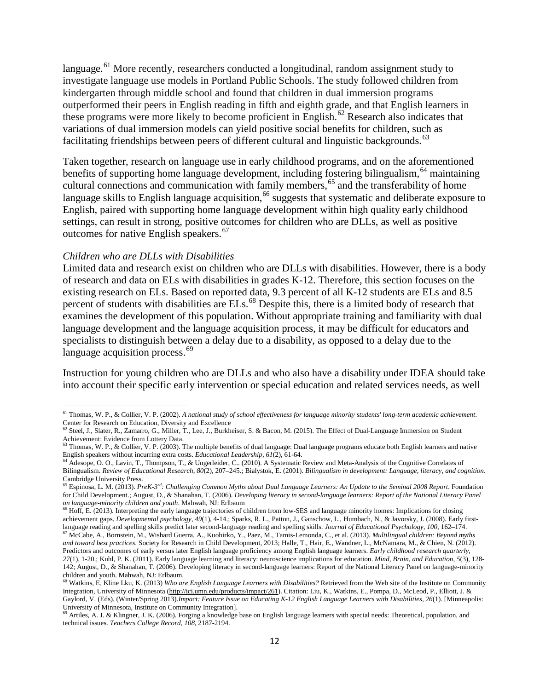language.<sup>[61](#page-11-0)</sup> More recently, researchers conducted a longitudinal, random assignment study to investigate language use models in Portland Public Schools. The study followed children from kindergarten through middle school and found that children in dual immersion programs outperformed their peers in English reading in fifth and eighth grade, and that English learners in these programs were more likely to become proficient in English.<sup>[62](#page-11-1)</sup> Research also indicates that variations of dual immersion models can yield positive social benefits for children, such as facilitating friendships between peers of different cultural and linguistic backgrounds.<sup>63</sup>

Taken together, research on language use in early childhood programs, and on the aforementioned benefits of supporting home language development, including fostering bilingualism, <sup>[64](#page-11-3)</sup> maintaining cultural connections and communication with family members,<sup>[65](#page-11-4)</sup> and the transferability of home language skills to English language acquisition,<sup>[66](#page-11-5)</sup> suggests that systematic and deliberate exposure to English, paired with supporting home language development within high quality early childhood settings, can result in strong, positive outcomes for children who are DLLs, as well as positive outcomes for native English speakers.<sup>[67](#page-11-6)</sup>

#### *Children who are DLLs with Disabilities*

l

Limited data and research exist on children who are DLLs with disabilities. However, there is a body of research and data on ELs with disabilities in grades K-12. Therefore, this section focuses on the existing research on ELs. Based on reported data, 9.3 percent of all K-12 students are ELs and 8.5 percent of students with disabilities are ELs.<sup>[68](#page-11-7)</sup> Despite this, there is a limited body of research that examines the development of this population. Without appropriate training and familiarity with dual language development and the language acquisition process, it may be difficult for educators and specialists to distinguish between a delay due to a disability, as opposed to a delay due to the language acquisition process. $69$ 

Instruction for young children who are DLLs and who also have a disability under IDEA should take into account their specific early intervention or special education and related services needs, as well

<span id="page-11-0"></span><sup>61</sup> Thomas, W. P., & Collier, V. P. (2002). *A national study of school effectiveness for language minority students' long-term academic achievement*.

<span id="page-11-1"></span>Center for Research on Education, Diversity and Excellence<br><sup>62</sup> Steel, J., Slater, R., Zamarro, G., Miller, T., Lee, J., Burkheiser, S. & Bacon, M. (2015). The Effect of Dual-Language Immersion on Student Achievement: Evidence from Lottery Data.

<span id="page-11-2"></span><sup>&</sup>lt;sup>63</sup> Thomas, W. P., & Collier, V. P. (2003). The multiple benefits of dual language: Dual language programs educate both English learners and native English speakers without incurring extra costs. *Educational Leadership*, *61*(2), 61-64.

<span id="page-11-3"></span><sup>&</sup>lt;sup>64</sup> Adesope, O. O., Lavin, T., Thompson, T., & Ungerleider, C.. (2010). A Systematic Review and Meta-Analysis of the Cognitive Correlates of Bilingualism. *Review of Educational Research*, *80*(2), 207–245.; Bialystok, E. (2001). *Bilingualism in development: Language, literacy, and cognition*. Cambridge University Press.

<span id="page-11-4"></span><sup>65</sup> Espinosa, L. M. (2013). *PreK-3rd: Challenging Common Myths about Dual Language Learners: An Update to the Seminal 2008 Report*. Foundation for Child Development.; August, D., & Shanahan, T. (2006). *Developing literacy in second-language learners: Report of the National Literacy Panel on language-minority children and youth*. Mahwah, NJ: Erlbaum

<span id="page-11-5"></span><sup>&</sup>lt;sup>66</sup> Hoff, E. (2013). Interpreting the early language trajectories of children from low-SES and language minority homes: Implications for closing achievement gaps. *Developmental psychology*, *49*(1), 4-14.; Sparks, R. L., Patton, J., Ganschow, L., Humbach, N., & Javorsky, J. (2008). Early firstlanguage reading and spelling skills predict later second-language reading and spelling skills. *Journal of Educational Psychology, 100,* 162–174. <sup>67</sup> McCabe, A., Bornstein, M., Wishard Guerra, A., Kuohirko, Y., Paez, M., Tamis-Lemonda, C., et al. (2013). *Multilingual children: Beyond myths* 

<span id="page-11-6"></span>*and toward best practices*. Society for Research in Child Development, 2013; Halle, T., Hair, E., Wandner, L., McNamara, M., & Chien, N. (2012). Predictors and outcomes of early versus later English language proficiency among English language learners. *Early childhood research quarterly*, *27*(1), 1-20.; Kuhl, P. K. (2011). Early language learning and literacy: neuroscience implications for education. *Mind, Brain, and Education*, *5*(3), 128-

<sup>142;</sup> August, D., & Shanahan, T. (2006). Developing literacy in second-language learners: Report of the National Literacy Panel on language-minority children and youth. Mahwah, NJ: Erlbaum.

<span id="page-11-7"></span><sup>68</sup> Watkins, E, Kline Lku, K. (2013) *Who are English Language Learners with Disabilities?* Retrieved from the Web site of the Institute on Community Integration, University of Minnesota [\(http://ici.umn.edu/products/impact/261\)](https://ici.umn.edu/products/impact/261/default.html). Citation: Liu, K., Watkins, E., Pompa, D., McLeod, P., Elliott, J. & Gaylord, V. (Eds). (Winter/Spring 2013).*Impact: Feature Issue on Educating K-12 English Language Learners with Disabilities, 26*(1). [Minneapolis: University of Minnesota, Institute on Community Integration].

<span id="page-11-8"></span><sup>&</sup>lt;sup>69</sup> Artiles, A. J. & Klingner, J. K. (2006). Forging a knowledge base on English language learners with special needs: Theoretical, population, and technical issues. *Teachers College Record, 108*, 2187-2194.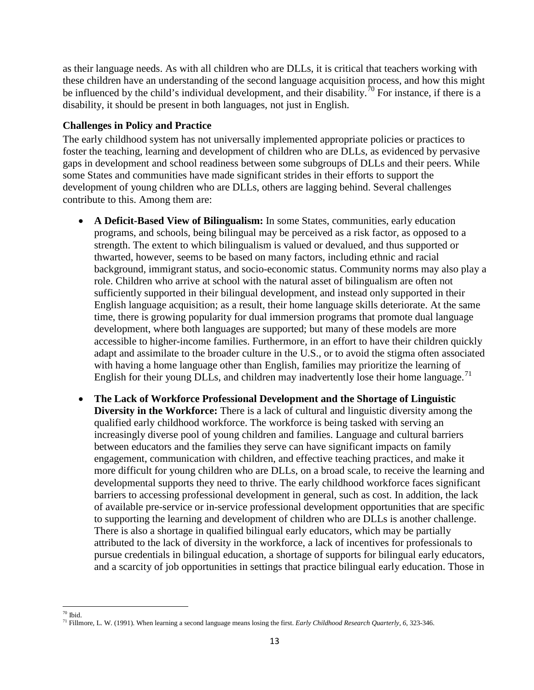as their language needs. As with all children who are DLLs, it is critical that teachers working with these children have an understanding of the second language acquisition process, and how this might be influenced by the child's individual development, and their disability.<sup>[70](#page-12-0)</sup> For instance, if there is a disability, it should be present in both languages, not just in English.

### **Challenges in Policy and Practice**

The early childhood system has not universally implemented appropriate policies or practices to foster the teaching, learning and development of children who are DLLs, as evidenced by pervasive gaps in development and school readiness between some subgroups of DLLs and their peers. While some States and communities have made significant strides in their efforts to support the development of young children who are DLLs, others are lagging behind. Several challenges contribute to this. Among them are:

- **A Deficit-Based View of Bilingualism:** In some States, communities, early education programs, and schools, being bilingual may be perceived as a risk factor, as opposed to a strength. The extent to which bilingualism is valued or devalued, and thus supported or thwarted, however, seems to be based on many factors, including ethnic and racial background, immigrant status, and socio-economic status. Community norms may also play a role. Children who arrive at school with the natural asset of bilingualism are often not sufficiently supported in their bilingual development, and instead only supported in their English language acquisition; as a result, their home language skills deteriorate. At the same time, there is growing popularity for dual immersion programs that promote dual language development, where both languages are supported; but many of these models are more accessible to higher-income families. Furthermore, in an effort to have their children quickly adapt and assimilate to the broader culture in the U.S., or to avoid the stigma often associated with having a home language other than English, families may prioritize the learning of English for their young DLLs, and children may inadvertently lose their home language.<sup>[71](#page-12-1)</sup>
- **The Lack of Workforce Professional Development and the Shortage of Linguistic Diversity in the Workforce:** There is a lack of cultural and linguistic diversity among the qualified early childhood workforce. The workforce is being tasked with serving an increasingly diverse pool of young children and families. Language and cultural barriers between educators and the families they serve can have significant impacts on family engagement, communication with children, and effective teaching practices, and make it more difficult for young children who are DLLs, on a broad scale, to receive the learning and developmental supports they need to thrive. The early childhood workforce faces significant barriers to accessing professional development in general, such as cost. In addition, the lack of available pre-service or in-service professional development opportunities that are specific to supporting the learning and development of children who are DLLs is another challenge. There is also a shortage in qualified bilingual early educators, which may be partially attributed to the lack of diversity in the workforce, a lack of incentives for professionals to pursue credentials in bilingual education, a shortage of supports for bilingual early educators, and a scarcity of job opportunities in settings that practice bilingual early education. Those in

<span id="page-12-0"></span> $70$  Ibid.

<span id="page-12-1"></span><sup>&</sup>lt;sup>71</sup> Fillmore, L. W. (1991). When learning a second language means losing the first. *Early Childhood Research Quarterly, 6*, 323-346.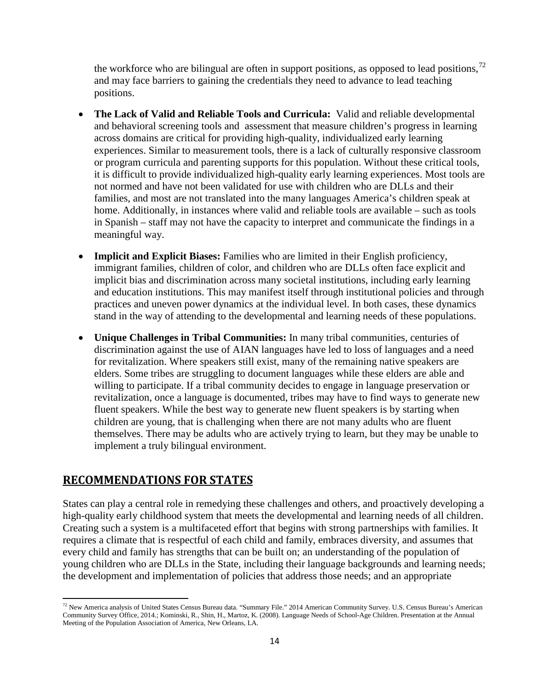the workforce who are bilingual are often in support positions, as opposed to lead positions,  $^{72}$  $^{72}$  $^{72}$ and may face barriers to gaining the credentials they need to advance to lead teaching positions.

- **The Lack of Valid and Reliable Tools and Curricula:** Valid and reliable developmental and behavioral screening tools and assessment that measure children's progress in learning across domains are critical for providing high-quality, individualized early learning experiences. Similar to measurement tools, there is a lack of culturally responsive classroom or program curricula and parenting supports for this population. Without these critical tools, it is difficult to provide individualized high-quality early learning experiences. Most tools are not normed and have not been validated for use with children who are DLLs and their families, and most are not translated into the many languages America's children speak at home. Additionally, in instances where valid and reliable tools are available – such as tools in Spanish – staff may not have the capacity to interpret and communicate the findings in a meaningful way.
- **Implicit and Explicit Biases:** Families who are limited in their English proficiency, immigrant families, children of color, and children who are DLLs often face explicit and implicit bias and discrimination across many societal institutions, including early learning and education institutions. This may manifest itself through institutional policies and through practices and uneven power dynamics at the individual level. In both cases, these dynamics stand in the way of attending to the developmental and learning needs of these populations.
- **Unique Challenges in Tribal Communities:** In many tribal communities, centuries of discrimination against the use of AIAN languages have led to loss of languages and a need for revitalization. Where speakers still exist, many of the remaining native speakers are elders. Some tribes are struggling to document languages while these elders are able and willing to participate. If a tribal community decides to engage in language preservation or revitalization, once a language is documented, tribes may have to find ways to generate new fluent speakers. While the best way to generate new fluent speakers is by starting when children are young, that is challenging when there are not many adults who are fluent themselves. There may be adults who are actively trying to learn, but they may be unable to implement a truly bilingual environment.

# **RECOMMENDATIONS FOR STATES**

l

States can play a central role in remedying these challenges and others, and proactively developing a high-quality early childhood system that meets the developmental and learning needs of all children. Creating such a system is a multifaceted effort that begins with strong partnerships with families. It requires a climate that is respectful of each child and family, embraces diversity, and assumes that every child and family has strengths that can be built on; an understanding of the population of young children who are DLLs in the State, including their language backgrounds and learning needs; the development and implementation of policies that address those needs; and an appropriate

<span id="page-13-0"></span> $^{72}$  New America analysis of United States Census Bureau data. "Summary File." 2014 American Community Survey. U.S. Census Bureau's American Community Survey Office, 2014.; Kominski, R., Shin, H., Martoz, K. (2008). Language Needs of School-Age Children. Presentation at the Annual Meeting of the Population Association of America, New Orleans, LA.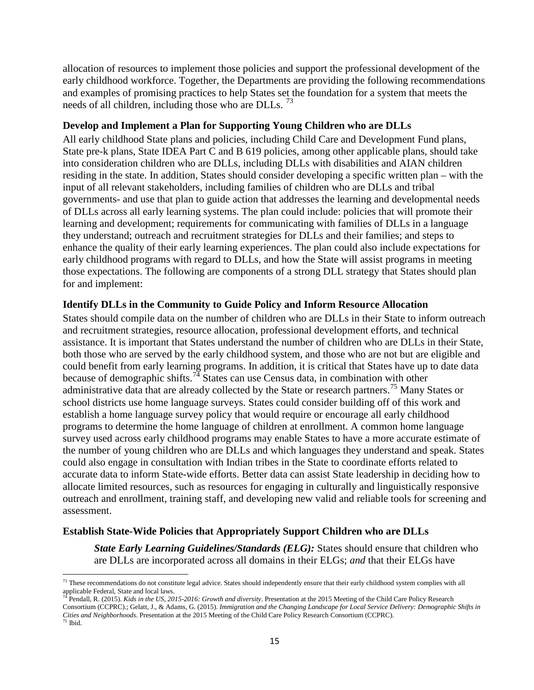allocation of resources to implement those policies and support the professional development of the early childhood workforce. Together, the Departments are providing the following recommendations and examples of promising practices to help States set the foundation for a system that meets the needs of all children, including those who are DLLs.  $^{73}$  $^{73}$  $^{73}$ 

### **Develop and Implement a Plan for Supporting Young Children who are DLLs**

All early childhood State plans and policies, including Child Care and Development Fund plans, State pre-k plans, State IDEA Part C and B 619 policies, among other applicable plans, should take into consideration children who are DLLs, including DLLs with disabilities and AIAN children residing in the state. In addition, States should consider developing a specific written plan – with the input of all relevant stakeholders, including families of children who are DLLs and tribal governments- and use that plan to guide action that addresses the learning and developmental needs of DLLs across all early learning systems. The plan could include: policies that will promote their learning and development; requirements for communicating with families of DLLs in a language they understand; outreach and recruitment strategies for DLLs and their families; and steps to enhance the quality of their early learning experiences. The plan could also include expectations for early childhood programs with regard to DLLs, and how the State will assist programs in meeting those expectations. The following are components of a strong DLL strategy that States should plan for and implement:

### **Identify DLLs in the Community to Guide Policy and Inform Resource Allocation**

States should compile data on the number of children who are DLLs in their State to inform outreach and recruitment strategies, resource allocation, professional development efforts, and technical assistance. It is important that States understand the number of children who are DLLs in their State, both those who are served by the early childhood system, and those who are not but are eligible and could benefit from early learning programs. In addition, it is critical that States have up to date data because of demographic shifts.<sup>[74](#page-14-1)</sup> States can use Census data, in combination with other administrative data that are already collected by the State or research partners.<sup>[75](#page-14-2)</sup> Many States or school districts use home language surveys. States could consider building off of this work and establish a home language survey policy that would require or encourage all early childhood programs to determine the home language of children at enrollment. A common home language survey used across early childhood programs may enable States to have a more accurate estimate of the number of young children who are DLLs and which languages they understand and speak. States could also engage in consultation with Indian tribes in the State to coordinate efforts related to accurate data to inform State-wide efforts. Better data can assist State leadership in deciding how to allocate limited resources, such as resources for engaging in culturally and linguistically responsive outreach and enrollment, training staff, and developing new valid and reliable tools for screening and assessment.

### **Establish State-Wide Policies that Appropriately Support Children who are DLLs**

 $\overline{\phantom{a}}$ 

*State Early Learning Guidelines/Standards (ELG):* States should ensure that children who are DLLs are incorporated across all domains in their ELGs; *and* that their ELGs have

<span id="page-14-0"></span> $73$  These recommendations do not constitute legal advice. States should independently ensure that their early childhood system complies with all applicable Federal, State and local laws.<br><sup>74</sup> Pendall, R. (2015). *Kids in the US, 2015-2016: Growth and diversity*. Presentation at the 2015 Meeting of the Child Care Policy Research

<span id="page-14-2"></span><span id="page-14-1"></span>Consortium (CCPRC).; Gelatt, J., & Adams, G. (2015). *Immigration and the Changing Landscape for Local Service Delivery: Demographic Shifts in Cities and Neighborhoods*. Presentation at the 2015 Meeting of the Child Care Policy Research Consortium (CCPRC). <sup>75</sup> Ibid.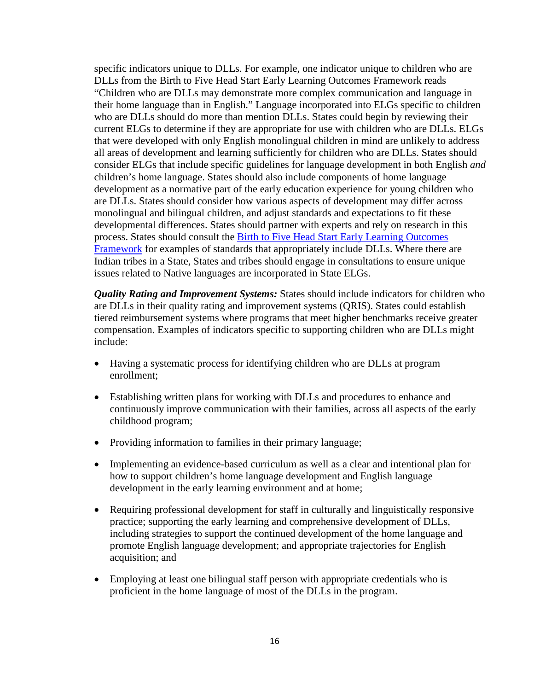specific indicators unique to DLLs. For example, one indicator unique to children who are DLLs from the Birth to Five Head Start Early Learning Outcomes Framework reads "Children who are DLLs may demonstrate more complex communication and language in their home language than in English." Language incorporated into ELGs specific to children who are DLLs should do more than mention DLLs. States could begin by reviewing their current ELGs to determine if they are appropriate for use with children who are DLLs. ELGs that were developed with only English monolingual children in mind are unlikely to address all areas of development and learning sufficiently for children who are DLLs. States should consider ELGs that include specific guidelines for language development in both English *and* children's home language. States should also include components of home language development as a normative part of the early education experience for young children who are DLLs. States should consider how various aspects of development may differ across monolingual and bilingual children, and adjust standards and expectations to fit these developmental differences. States should partner with experts and rely on research in this process. States should consult the [Birth to Five Head Start Early Learning Outcomes](https://eclkc.ohs.acf.hhs.gov/hslc/hs/sr/approach/pdf/ohs-framework.pdf)  [Framework](https://eclkc.ohs.acf.hhs.gov/hslc/hs/sr/approach/pdf/ohs-framework.pdf) for examples of standards that appropriately include DLLs. Where there are Indian tribes in a State, States and tribes should engage in consultations to ensure unique issues related to Native languages are incorporated in State ELGs.

*Quality Rating and Improvement Systems:* States should include indicators for children who are DLLs in their quality rating and improvement systems (QRIS). States could establish tiered reimbursement systems where programs that meet higher benchmarks receive greater compensation. Examples of indicators specific to supporting children who are DLLs might include:

- Having a systematic process for identifying children who are DLLs at program enrollment;
- Establishing written plans for working with DLLs and procedures to enhance and continuously improve communication with their families, across all aspects of the early childhood program;
- Providing information to families in their primary language;
- Implementing an evidence-based curriculum as well as a clear and intentional plan for how to support children's home language development and English language development in the early learning environment and at home;
- Requiring professional development for staff in culturally and linguistically responsive practice; supporting the early learning and comprehensive development of DLLs, including strategies to support the continued development of the home language and promote English language development; and appropriate trajectories for English acquisition; and
- Employing at least one bilingual staff person with appropriate credentials who is proficient in the home language of most of the DLLs in the program.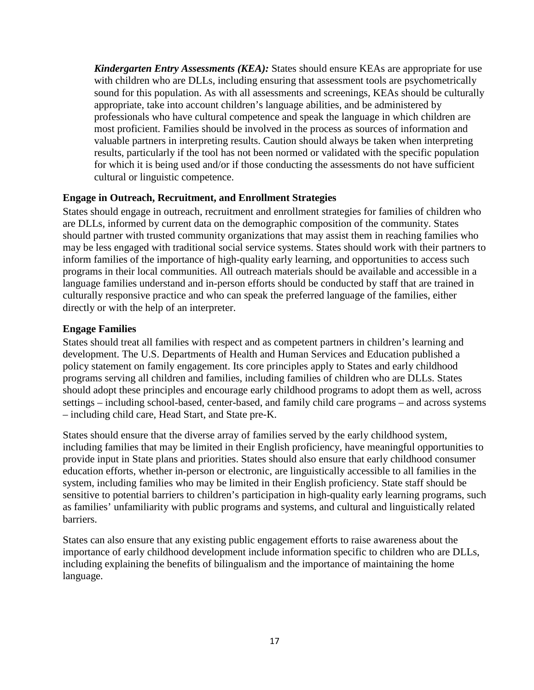*Kindergarten Entry Assessments (KEA):* States should ensure KEAs are appropriate for use with children who are DLLs, including ensuring that assessment tools are psychometrically sound for this population. As with all assessments and screenings, KEAs should be culturally appropriate, take into account children's language abilities, and be administered by professionals who have cultural competence and speak the language in which children are most proficient. Families should be involved in the process as sources of information and valuable partners in interpreting results. Caution should always be taken when interpreting results, particularly if the tool has not been normed or validated with the specific population for which it is being used and/or if those conducting the assessments do not have sufficient cultural or linguistic competence.

### **Engage in Outreach, Recruitment, and Enrollment Strategies**

States should engage in outreach, recruitment and enrollment strategies for families of children who are DLLs, informed by current data on the demographic composition of the community. States should partner with trusted community organizations that may assist them in reaching families who may be less engaged with traditional social service systems. States should work with their partners to inform families of the importance of high-quality early learning, and opportunities to access such programs in their local communities. All outreach materials should be available and accessible in a language families understand and in-person efforts should be conducted by staff that are trained in culturally responsive practice and who can speak the preferred language of the families, either directly or with the help of an interpreter.

### **Engage Families**

States should treat all families with respect and as competent partners in children's learning and development. The U.S. Departments of Health and Human Services and Education published a policy statement on family engagement. Its core principles apply to States and early childhood programs serving all children and families, including families of children who are DLLs. States should adopt these principles and encourage early childhood programs to adopt them as well, across settings – including school-based, center-based, and family child care programs – and across systems – including child care, Head Start, and State pre-K.

States should ensure that the diverse array of families served by the early childhood system, including families that may be limited in their English proficiency, have meaningful opportunities to provide input in State plans and priorities. States should also ensure that early childhood consumer education efforts, whether in-person or electronic, are linguistically accessible to all families in the system, including families who may be limited in their English proficiency. State staff should be sensitive to potential barriers to children's participation in high-quality early learning programs, such as families' unfamiliarity with public programs and systems, and cultural and linguistically related barriers.

States can also ensure that any existing public engagement efforts to raise awareness about the importance of early childhood development include information specific to children who are DLLs, including explaining the benefits of bilingualism and the importance of maintaining the home language.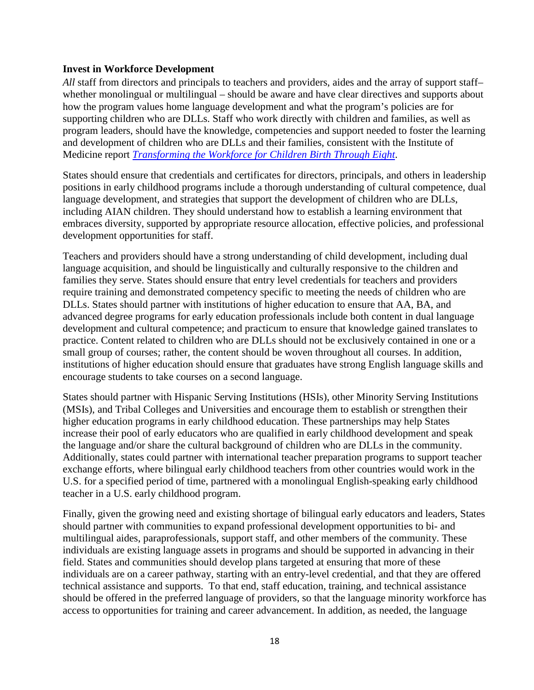### **Invest in Workforce Development**

*All* staff from directors and principals to teachers and providers, aides and the array of support staff– whether monolingual or multilingual – should be aware and have clear directives and supports about how the program values home language development and what the program's policies are for supporting children who are DLLs. Staff who work directly with children and families, as well as program leaders, should have the knowledge, competencies and support needed to foster the learning and development of children who are DLLs and their families, consistent with the Institute of Medicine report *[Transforming the Workforce for Children Birth Through Eight](http://iom.nationalacademies.org/Reports/2015/Birth-To-Eight.aspx)*.

States should ensure that credentials and certificates for directors, principals, and others in leadership positions in early childhood programs include a thorough understanding of cultural competence, dual language development, and strategies that support the development of children who are DLLs, including AIAN children. They should understand how to establish a learning environment that embraces diversity, supported by appropriate resource allocation, effective policies, and professional development opportunities for staff.

Teachers and providers should have a strong understanding of child development, including dual language acquisition, and should be linguistically and culturally responsive to the children and families they serve. States should ensure that entry level credentials for teachers and providers require training and demonstrated competency specific to meeting the needs of children who are DLLs. States should partner with institutions of higher education to ensure that AA, BA, and advanced degree programs for early education professionals include both content in dual language development and cultural competence; and practicum to ensure that knowledge gained translates to practice. Content related to children who are DLLs should not be exclusively contained in one or a small group of courses; rather, the content should be woven throughout all courses. In addition, institutions of higher education should ensure that graduates have strong English language skills and encourage students to take courses on a second language.

States should partner with Hispanic Serving Institutions (HSIs), other Minority Serving Institutions (MSIs), and Tribal Colleges and Universities and encourage them to establish or strengthen their higher education programs in early childhood education. These partnerships may help States increase their pool of early educators who are qualified in early childhood development and speak the language and/or share the cultural background of children who are DLLs in the community. Additionally, states could partner with international teacher preparation programs to support teacher exchange efforts, where bilingual early childhood teachers from other countries would work in the U.S. for a specified period of time, partnered with a monolingual English-speaking early childhood teacher in a U.S. early childhood program.

Finally, given the growing need and existing shortage of bilingual early educators and leaders, States should partner with communities to expand professional development opportunities to bi- and multilingual aides, paraprofessionals, support staff, and other members of the community. These individuals are existing language assets in programs and should be supported in advancing in their field. States and communities should develop plans targeted at ensuring that more of these individuals are on a career pathway, starting with an entry-level credential, and that they are offered technical assistance and supports. To that end, staff education, training, and technical assistance should be offered in the preferred language of providers, so that the language minority workforce has access to opportunities for training and career advancement. In addition, as needed, the language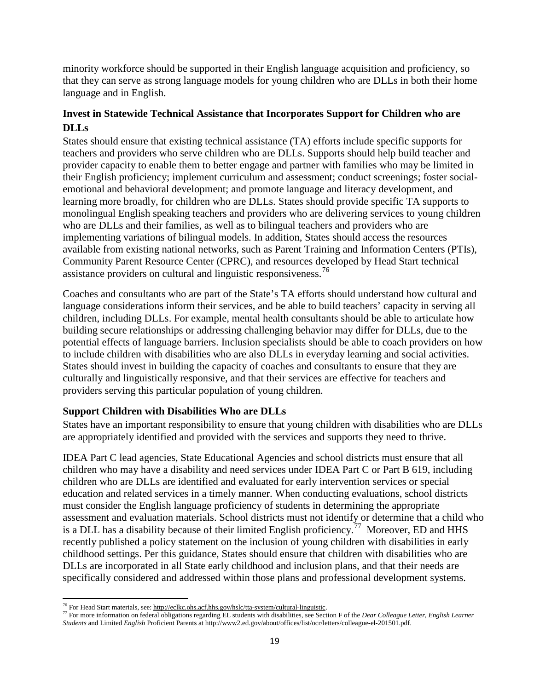minority workforce should be supported in their English language acquisition and proficiency, so that they can serve as strong language models for young children who are DLLs in both their home language and in English.

# **Invest in Statewide Technical Assistance that Incorporates Support for Children who are DLLs**

States should ensure that existing technical assistance (TA) efforts include specific supports for teachers and providers who serve children who are DLLs. Supports should help build teacher and provider capacity to enable them to better engage and partner with families who may be limited in their English proficiency; implement curriculum and assessment; conduct screenings; foster socialemotional and behavioral development; and promote language and literacy development, and learning more broadly, for children who are DLLs. States should provide specific TA supports to monolingual English speaking teachers and providers who are delivering services to young children who are DLLs and their families, as well as to bilingual teachers and providers who are implementing variations of bilingual models. In addition, States should access the resources available from existing national networks, such as Parent Training and Information Centers (PTIs), Community Parent Resource Center (CPRC), and resources developed by Head Start technical assistance providers on cultural and linguistic responsiveness.[76](#page-18-0)

Coaches and consultants who are part of the State's TA efforts should understand how cultural and language considerations inform their services, and be able to build teachers' capacity in serving all children, including DLLs. For example, mental health consultants should be able to articulate how building secure relationships or addressing challenging behavior may differ for DLLs, due to the potential effects of language barriers. Inclusion specialists should be able to coach providers on how to include children with disabilities who are also DLLs in everyday learning and social activities. States should invest in building the capacity of coaches and consultants to ensure that they are culturally and linguistically responsive, and that their services are effective for teachers and providers serving this particular population of young children.

### **Support Children with Disabilities Who are DLLs**

States have an important responsibility to ensure that young children with disabilities who are DLLs are appropriately identified and provided with the services and supports they need to thrive.

IDEA Part C lead agencies, State Educational Agencies and school districts must ensure that all children who may have a disability and need services under IDEA Part C or Part B 619, including children who are DLLs are identified and evaluated for early intervention services or special education and related services in a timely manner. When conducting evaluations, school districts must consider the English language proficiency of students in determining the appropriate assessment and evaluation materials. School districts must not identify or determine that a child who is a DLL has a disability because of their limited English proficiency.<sup>[77](#page-18-1)</sup> Moreover, ED and HHS recently published a policy statement on the inclusion of young children with disabilities in early childhood settings. Per this guidance, States should ensure that children with disabilities who are DLLs are incorporated in all State early childhood and inclusion plans, and that their needs are specifically considered and addressed within those plans and professional development systems.

<span id="page-18-0"></span><sup>&</sup>lt;sup>76</sup> For Head Start materials, see: http://eclkc.ohs.acf.hhs.gov/hslc/tta-system/cultural-linguistic.

<span id="page-18-1"></span> $\frac{1}{17}$  For more information on federal obligations regarding EL students with disabilities, see Section F of the *Dear Colleague Letter*, *English Learner Students* and Limited *English* Proficient Parents at http://www2.ed.gov/about/offices/list/ocr/letters/colleague-el-201501.pdf.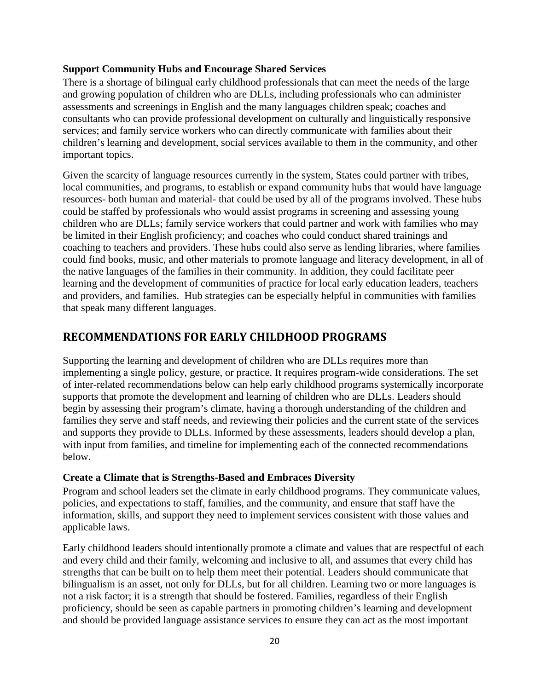### **Support Community Hubs and Encourage Shared Services**

There is a shortage of bilingual early childhood professionals that can meet the needs of the large and growing population of children who are DLLs, including professionals who can administer assessments and screenings in English and the many languages children speak; coaches and consultants who can provide professional development on culturally and linguistically responsive services; and family service workers who can directly communicate with families about their children's learning and development, social services available to them in the community, and other important topics.

Given the scarcity of language resources currently in the system, States could partner with tribes, local communities, and programs, to establish or expand community hubs that would have language resources- both human and material- that could be used by all of the programs involved. These hubs could be staffed by professionals who would assist programs in screening and assessing young children who are DLLs; family service workers that could partner and work with families who may be limited in their English proficiency; and coaches who could conduct shared trainings and coaching to teachers and providers. These hubs could also serve as lending libraries, where families could find books, music, and other materials to promote language and literacy development, in all of the native languages of the families in their community. In addition, they could facilitate peer learning and the development of communities of practice for local early education leaders, teachers and providers, and families. Hub strategies can be especially helpful in communities with families that speak many different languages.

# **RECOMMENDATIONS FOR EARLY CHILDHOOD PROGRAMS**

Supporting the learning and development of children who are DLLs requires more than implementing a single policy, gesture, or practice. It requires program-wide considerations. The set of inter-related recommendations below can help early childhood programs systemically incorporate supports that promote the development and learning of children who are DLLs. Leaders should begin by assessing their program's climate, having a thorough understanding of the children and families they serve and staff needs, and reviewing their policies and the current state of the services and supports they provide to DLLs. Informed by these assessments, leaders should develop a plan, with input from families, and timeline for implementing each of the connected recommendations below.

### **Create a Climate that is Strengths-Based and Embraces Diversity**

Program and school leaders set the climate in early childhood programs. They communicate values, policies, and expectations to staff, families, and the community, and ensure that staff have the information, skills, and support they need to implement services consistent with those values and applicable laws.

Early childhood leaders should intentionally promote a climate and values that are respectful of each and every child and their family, welcoming and inclusive to all, and assumes that every child has strengths that can be built on to help them meet their potential. Leaders should communicate that bilingualism is an asset, not only for DLLs, but for all children. Learning two or more languages is not a risk factor; it is a strength that should be fostered. Families, regardless of their English proficiency, should be seen as capable partners in promoting children's learning and development and should be provided language assistance services to ensure they can act as the most important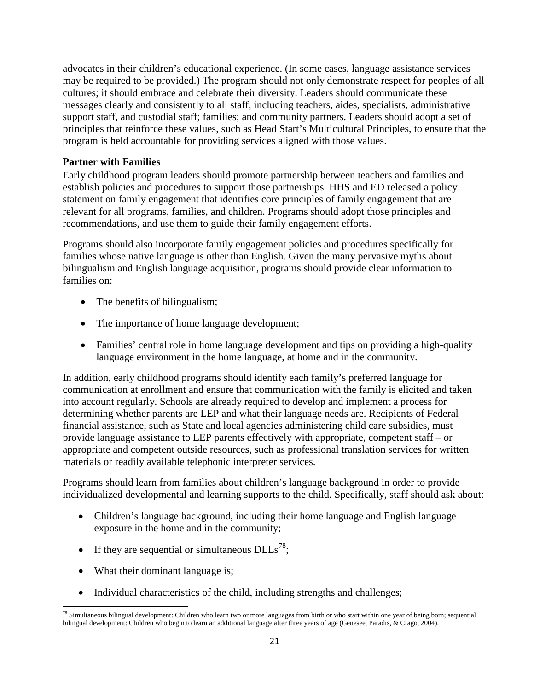advocates in their children's educational experience. (In some cases, language assistance services may be required to be provided.) The program should not only demonstrate respect for peoples of all cultures; it should embrace and celebrate their diversity. Leaders should communicate these messages clearly and consistently to all staff, including teachers, aides, specialists, administrative support staff, and custodial staff; families; and community partners. Leaders should adopt a set of principles that reinforce these values, such as Head Start's Multicultural Principles, to ensure that the program is held accountable for providing services aligned with those values.

### **Partner with Families**

Early childhood program leaders should promote partnership between teachers and families and establish policies and procedures to support those partnerships. HHS and ED released a policy statement on family engagement that identifies core principles of family engagement that are relevant for all programs, families, and children. Programs should adopt those principles and recommendations, and use them to guide their family engagement efforts.

Programs should also incorporate family engagement policies and procedures specifically for families whose native language is other than English. Given the many pervasive myths about bilingualism and English language acquisition, programs should provide clear information to families on:

- The benefits of bilingualism;
- The importance of home language development;
- Families' central role in home language development and tips on providing a high-quality language environment in the home language, at home and in the community.

In addition, early childhood programs should identify each family's preferred language for communication at enrollment and ensure that communication with the family is elicited and taken into account regularly. Schools are already required to develop and implement a process for determining whether parents are LEP and what their language needs are. Recipients of Federal financial assistance, such as State and local agencies administering child care subsidies, must provide language assistance to LEP parents effectively with appropriate, competent staff – or appropriate and competent outside resources, such as professional translation services for written materials or readily available telephonic interpreter services.

Programs should learn from families about children's language background in order to provide individualized developmental and learning supports to the child. Specifically, staff should ask about:

- Children's language background, including their home language and English language exposure in the home and in the community;
- If they are sequential or simultaneous  $DLLs^{78}$ ;
- What their dominant language is;
- Individual characteristics of the child, including strengths and challenges;

<span id="page-20-0"></span><sup>&</sup>lt;sup>78</sup> Simultaneous bilingual development: Children who learn two or more languages from birth or who start within one year of being born; sequential bilingual development: Children who begin to learn an additional language after three years of age (Genesee, Paradis, & Crago, 2004).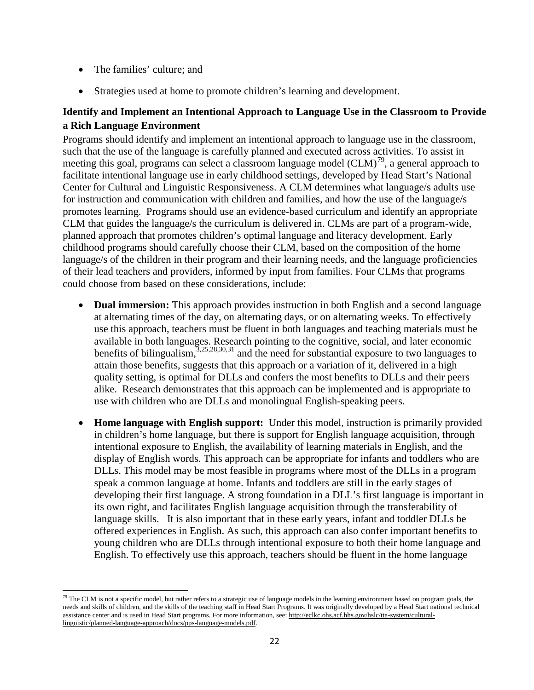- The families' culture; and
- Strategies used at home to promote children's learning and development.

# **Identify and Implement an Intentional Approach to Language Use in the Classroom to Provide a Rich Language Environment**

Programs should identify and implement an intentional approach to language use in the classroom, such that the use of the language is carefully planned and executed across activities. To assist in meeting this goal, programs can select a classroom language model  $(CLM)^{79}$  $(CLM)^{79}$  $(CLM)^{79}$ , a general approach to facilitate intentional language use in early childhood settings, developed by Head Start's National Center for Cultural and Linguistic Responsiveness. A CLM determines what language/s adults use for instruction and communication with children and families, and how the use of the language/s promotes learning. Programs should use an evidence-based curriculum and identify an appropriate CLM that guides the language/s the curriculum is delivered in. CLMs are part of a program-wide, planned approach that promotes children's optimal language and literacy development. Early childhood programs should carefully choose their CLM, based on the composition of the home language/s of the children in their program and their learning needs, and the language proficiencies of their lead teachers and providers, informed by input from families. Four CLMs that programs could choose from based on these considerations, include:

- **Dual immersion:** This approach provides instruction in both English and a second language at alternating times of the day, on alternating days, or on alternating weeks. To effectively use this approach, teachers must be fluent in both languages and teaching materials must be available in both languages. Research pointing to the cognitive, social, and later economic benefits of bilingualism,<sup>3,25,28,30,31</sup> and the need for substantial exposure to two languages to attain those benefits, suggests that this approach or a variation of it, delivered in a high quality setting, is optimal for DLLs and confers the most benefits to DLLs and their peers alike. Research demonstrates that this approach can be implemented and is appropriate to use with children who are DLLs and monolingual English-speaking peers.
- **Home language with English support:** Under this model, instruction is primarily provided in children's home language, but there is support for English language acquisition, through intentional exposure to English, the availability of learning materials in English, and the display of English words. This approach can be appropriate for infants and toddlers who are DLLs. This model may be most feasible in programs where most of the DLLs in a program speak a common language at home. Infants and toddlers are still in the early stages of developing their first language. A strong foundation in a DLL's first language is important in its own right, and facilitates English language acquisition through the transferability of language skills. It is also important that in these early years, infant and toddler DLLs be offered experiences in English. As such, this approach can also confer important benefits to young children who are DLLs through intentional exposure to both their home language and English. To effectively use this approach, teachers should be fluent in the home language

<span id="page-21-0"></span> $79$  The CLM is not a specific model, but rather refers to a strategic use of language models in the learning environment based on program goals, the needs and skills of children, and the skills of the teaching staff in Head Start Programs. It was originally developed by a Head Start national technical assistance center and is used in Head Start programs. For more information, see[: http://eclkc.ohs.acf.hhs.gov/hslc/tta-system/cultural](http://eclkc.ohs.acf.hhs.gov/hslc/tta-system/cultural-linguistic/planned-language-approach/docs/pps-language-models.pdf)[linguistic/planned-language-approach/docs/pps-language-models.pdf.](http://eclkc.ohs.acf.hhs.gov/hslc/tta-system/cultural-linguistic/planned-language-approach/docs/pps-language-models.pdf)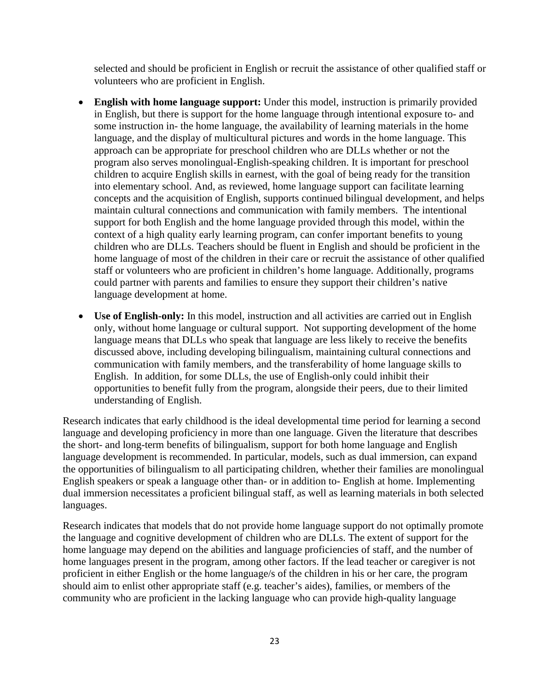selected and should be proficient in English or recruit the assistance of other qualified staff or volunteers who are proficient in English.

- **English with home language support:** Under this model, instruction is primarily provided in English, but there is support for the home language through intentional exposure to- and some instruction in- the home language, the availability of learning materials in the home language, and the display of multicultural pictures and words in the home language. This approach can be appropriate for preschool children who are DLLs whether or not the program also serves monolingual-English-speaking children. It is important for preschool children to acquire English skills in earnest, with the goal of being ready for the transition into elementary school. And, as reviewed, home language support can facilitate learning concepts and the acquisition of English, supports continued bilingual development, and helps maintain cultural connections and communication with family members. The intentional support for both English and the home language provided through this model, within the context of a high quality early learning program, can confer important benefits to young children who are DLLs. Teachers should be fluent in English and should be proficient in the home language of most of the children in their care or recruit the assistance of other qualified staff or volunteers who are proficient in children's home language. Additionally, programs could partner with parents and families to ensure they support their children's native language development at home.
- **Use of English-only:** In this model, instruction and all activities are carried out in English only, without home language or cultural support. Not supporting development of the home language means that DLLs who speak that language are less likely to receive the benefits discussed above, including developing bilingualism, maintaining cultural connections and communication with family members, and the transferability of home language skills to English. In addition, for some DLLs, the use of English-only could inhibit their opportunities to benefit fully from the program, alongside their peers, due to their limited understanding of English.

Research indicates that early childhood is the ideal developmental time period for learning a second language and developing proficiency in more than one language. Given the literature that describes the short- and long-term benefits of bilingualism, support for both home language and English language development is recommended. In particular, models, such as dual immersion, can expand the opportunities of bilingualism to all participating children, whether their families are monolingual English speakers or speak a language other than- or in addition to- English at home. Implementing dual immersion necessitates a proficient bilingual staff, as well as learning materials in both selected languages.

Research indicates that models that do not provide home language support do not optimally promote the language and cognitive development of children who are DLLs. The extent of support for the home language may depend on the abilities and language proficiencies of staff, and the number of home languages present in the program, among other factors. If the lead teacher or caregiver is not proficient in either English or the home language/s of the children in his or her care, the program should aim to enlist other appropriate staff (e.g. teacher's aides), families, or members of the community who are proficient in the lacking language who can provide high-quality language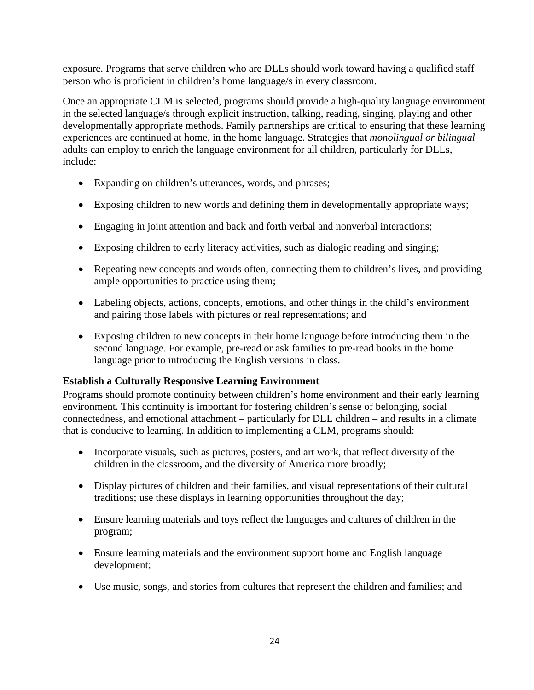exposure. Programs that serve children who are DLLs should work toward having a qualified staff person who is proficient in children's home language/s in every classroom.

Once an appropriate CLM is selected, programs should provide a high-quality language environment in the selected language/s through explicit instruction, talking, reading, singing, playing and other developmentally appropriate methods. Family partnerships are critical to ensuring that these learning experiences are continued at home, in the home language. Strategies that *monolingual or bilingual* adults can employ to enrich the language environment for all children, particularly for DLLs, include:

- Expanding on children's utterances, words, and phrases;
- Exposing children to new words and defining them in developmentally appropriate ways;
- Engaging in joint attention and back and forth verbal and nonverbal interactions;
- Exposing children to early literacy activities, such as dialogic reading and singing;
- Repeating new concepts and words often, connecting them to children's lives, and providing ample opportunities to practice using them;
- Labeling objects, actions, concepts, emotions, and other things in the child's environment and pairing those labels with pictures or real representations; and
- Exposing children to new concepts in their home language before introducing them in the second language. For example, pre-read or ask families to pre-read books in the home language prior to introducing the English versions in class.

# **Establish a Culturally Responsive Learning Environment**

Programs should promote continuity between children's home environment and their early learning environment. This continuity is important for fostering children's sense of belonging, social connectedness, and emotional attachment – particularly for DLL children – and results in a climate that is conducive to learning. In addition to implementing a CLM, programs should:

- Incorporate visuals, such as pictures, posters, and art work, that reflect diversity of the children in the classroom, and the diversity of America more broadly;
- Display pictures of children and their families, and visual representations of their cultural traditions; use these displays in learning opportunities throughout the day;
- Ensure learning materials and toys reflect the languages and cultures of children in the program;
- Ensure learning materials and the environment support home and English language development;
- Use music, songs, and stories from cultures that represent the children and families; and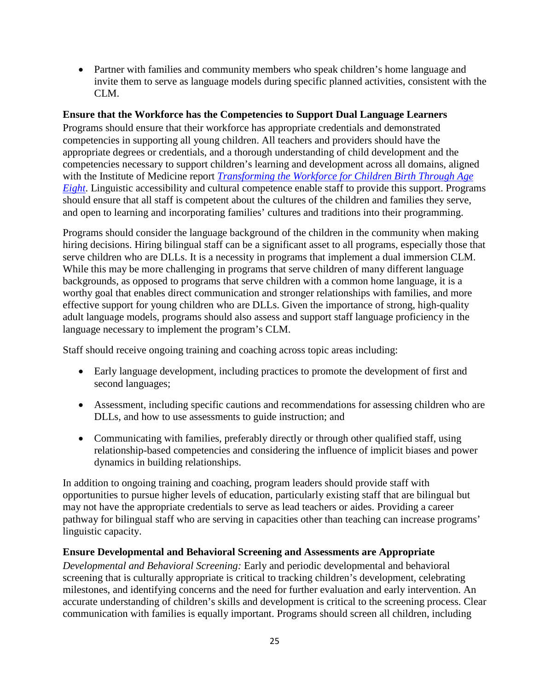• Partner with families and community members who speak children's home language and invite them to serve as language models during specific planned activities, consistent with the CLM.

### **Ensure that the Workforce has the Competencies to Support Dual Language Learners**

Programs should ensure that their workforce has appropriate credentials and demonstrated competencies in supporting all young children. All teachers and providers should have the appropriate degrees or credentials, and a thorough understanding of child development and the competencies necessary to support children's learning and development across all domains, aligned with the Institute of Medicine report *[Transforming the Workforce for Children Birth Through Age](http://iom.nationalacademies.org/Reports/2015/Birth-To-Eight.aspx)  [Eight](http://iom.nationalacademies.org/Reports/2015/Birth-To-Eight.aspx)*. Linguistic accessibility and cultural competence enable staff to provide this support. Programs should ensure that all staff is competent about the cultures of the children and families they serve, and open to learning and incorporating families' cultures and traditions into their programming.

Programs should consider the language background of the children in the community when making hiring decisions. Hiring bilingual staff can be a significant asset to all programs, especially those that serve children who are DLLs. It is a necessity in programs that implement a dual immersion CLM. While this may be more challenging in programs that serve children of many different language backgrounds, as opposed to programs that serve children with a common home language, it is a worthy goal that enables direct communication and stronger relationships with families, and more effective support for young children who are DLLs. Given the importance of strong, high-quality adult language models, programs should also assess and support staff language proficiency in the language necessary to implement the program's CLM.

Staff should receive ongoing training and coaching across topic areas including:

- Early language development, including practices to promote the development of first and second languages;
- Assessment, including specific cautions and recommendations for assessing children who are DLLs, and how to use assessments to guide instruction; and
- Communicating with families, preferably directly or through other qualified staff, using relationship-based competencies and considering the influence of implicit biases and power dynamics in building relationships.

In addition to ongoing training and coaching, program leaders should provide staff with opportunities to pursue higher levels of education, particularly existing staff that are bilingual but may not have the appropriate credentials to serve as lead teachers or aides. Providing a career pathway for bilingual staff who are serving in capacities other than teaching can increase programs' linguistic capacity.

### **Ensure Developmental and Behavioral Screening and Assessments are Appropriate**

*Developmental and Behavioral Screening:* Early and periodic developmental and behavioral screening that is culturally appropriate is critical to tracking children's development, celebrating milestones, and identifying concerns and the need for further evaluation and early intervention. An accurate understanding of children's skills and development is critical to the screening process. Clear communication with families is equally important. Programs should screen all children, including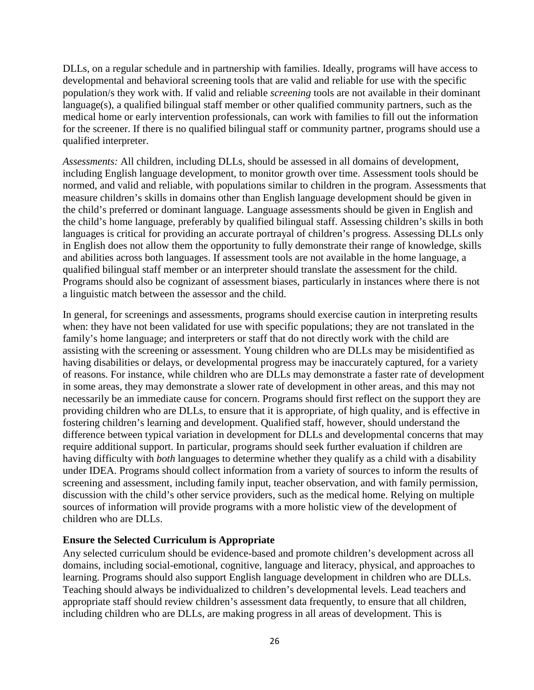DLLs, on a regular schedule and in partnership with families. Ideally, programs will have access to developmental and behavioral screening tools that are valid and reliable for use with the specific population/s they work with. If valid and reliable *screening* tools are not available in their dominant language(s), a qualified bilingual staff member or other qualified community partners, such as the medical home or early intervention professionals, can work with families to fill out the information for the screener. If there is no qualified bilingual staff or community partner, programs should use a qualified interpreter.

*Assessments:* All children, including DLLs, should be assessed in all domains of development, including English language development, to monitor growth over time. Assessment tools should be normed, and valid and reliable, with populations similar to children in the program. Assessments that measure children's skills in domains other than English language development should be given in the child's preferred or dominant language. Language assessments should be given in English and the child's home language, preferably by qualified bilingual staff. Assessing children's skills in both languages is critical for providing an accurate portrayal of children's progress. Assessing DLLs only in English does not allow them the opportunity to fully demonstrate their range of knowledge, skills and abilities across both languages. If assessment tools are not available in the home language, a qualified bilingual staff member or an interpreter should translate the assessment for the child. Programs should also be cognizant of assessment biases, particularly in instances where there is not a linguistic match between the assessor and the child.

In general, for screenings and assessments, programs should exercise caution in interpreting results when: they have not been validated for use with specific populations; they are not translated in the family's home language; and interpreters or staff that do not directly work with the child are assisting with the screening or assessment. Young children who are DLLs may be misidentified as having disabilities or delays, or developmental progress may be inaccurately captured, for a variety of reasons. For instance, while children who are DLLs may demonstrate a faster rate of development in some areas, they may demonstrate a slower rate of development in other areas, and this may not necessarily be an immediate cause for concern. Programs should first reflect on the support they are providing children who are DLLs, to ensure that it is appropriate, of high quality, and is effective in fostering children's learning and development. Qualified staff, however, should understand the difference between typical variation in development for DLLs and developmental concerns that may require additional support. In particular, programs should seek further evaluation if children are having difficulty with *both* languages to determine whether they qualify as a child with a disability under IDEA. Programs should collect information from a variety of sources to inform the results of screening and assessment, including family input, teacher observation, and with family permission, discussion with the child's other service providers, such as the medical home. Relying on multiple sources of information will provide programs with a more holistic view of the development of children who are DLLs.

### **Ensure the Selected Curriculum is Appropriate**

Any selected curriculum should be evidence-based and promote children's development across all domains, including social-emotional, cognitive, language and literacy, physical, and approaches to learning. Programs should also support English language development in children who are DLLs. Teaching should always be individualized to children's developmental levels. Lead teachers and appropriate staff should review children's assessment data frequently, to ensure that all children, including children who are DLLs, are making progress in all areas of development. This is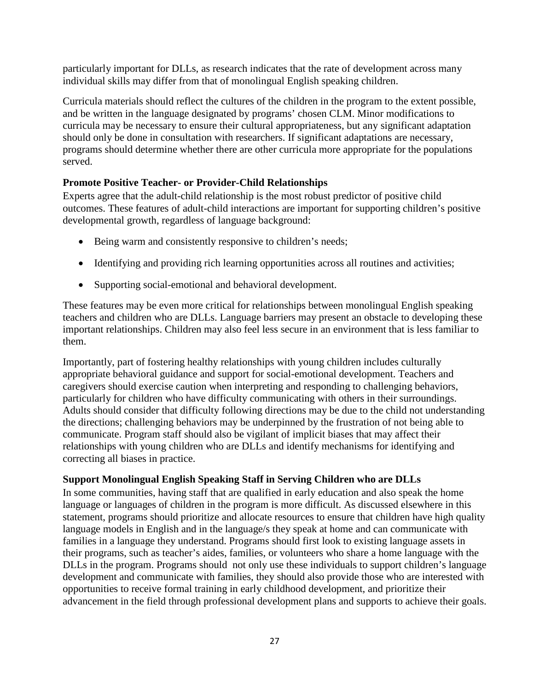particularly important for DLLs, as research indicates that the rate of development across many individual skills may differ from that of monolingual English speaking children.

Curricula materials should reflect the cultures of the children in the program to the extent possible, and be written in the language designated by programs' chosen CLM. Minor modifications to curricula may be necessary to ensure their cultural appropriateness, but any significant adaptation should only be done in consultation with researchers. If significant adaptations are necessary, programs should determine whether there are other curricula more appropriate for the populations served.

# **Promote Positive Teacher- or Provider-Child Relationships**

Experts agree that the adult-child relationship is the most robust predictor of positive child outcomes. These features of adult-child interactions are important for supporting children's positive developmental growth, regardless of language background:

- Being warm and consistently responsive to children's needs;
- Identifying and providing rich learning opportunities across all routines and activities;
- Supporting social-emotional and behavioral development.

These features may be even more critical for relationships between monolingual English speaking teachers and children who are DLLs. Language barriers may present an obstacle to developing these important relationships. Children may also feel less secure in an environment that is less familiar to them.

Importantly, part of fostering healthy relationships with young children includes culturally appropriate behavioral guidance and support for social-emotional development. Teachers and caregivers should exercise caution when interpreting and responding to challenging behaviors, particularly for children who have difficulty communicating with others in their surroundings. Adults should consider that difficulty following directions may be due to the child not understanding the directions; challenging behaviors may be underpinned by the frustration of not being able to communicate. Program staff should also be vigilant of implicit biases that may affect their relationships with young children who are DLLs and identify mechanisms for identifying and correcting all biases in practice.

# **Support Monolingual English Speaking Staff in Serving Children who are DLLs**

In some communities, having staff that are qualified in early education and also speak the home language or languages of children in the program is more difficult. As discussed elsewhere in this statement, programs should prioritize and allocate resources to ensure that children have high quality language models in English and in the language/s they speak at home and can communicate with families in a language they understand. Programs should first look to existing language assets in their programs, such as teacher's aides, families, or volunteers who share a home language with the DLLs in the program. Programs should not only use these individuals to support children's language development and communicate with families, they should also provide those who are interested with opportunities to receive formal training in early childhood development, and prioritize their advancement in the field through professional development plans and supports to achieve their goals.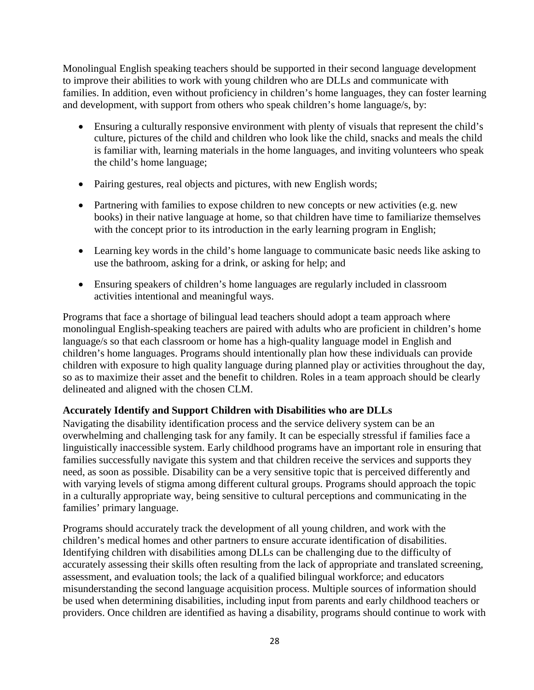Monolingual English speaking teachers should be supported in their second language development to improve their abilities to work with young children who are DLLs and communicate with families. In addition, even without proficiency in children's home languages, they can foster learning and development, with support from others who speak children's home language/s, by:

- Ensuring a culturally responsive environment with plenty of visuals that represent the child's culture, pictures of the child and children who look like the child, snacks and meals the child is familiar with, learning materials in the home languages, and inviting volunteers who speak the child's home language;
- Pairing gestures, real objects and pictures, with new English words;
- Partnering with families to expose children to new concepts or new activities (e.g. new books) in their native language at home, so that children have time to familiarize themselves with the concept prior to its introduction in the early learning program in English;
- Learning key words in the child's home language to communicate basic needs like asking to use the bathroom, asking for a drink, or asking for help; and
- Ensuring speakers of children's home languages are regularly included in classroom activities intentional and meaningful ways.

Programs that face a shortage of bilingual lead teachers should adopt a team approach where monolingual English-speaking teachers are paired with adults who are proficient in children's home language/s so that each classroom or home has a high-quality language model in English and children's home languages. Programs should intentionally plan how these individuals can provide children with exposure to high quality language during planned play or activities throughout the day, so as to maximize their asset and the benefit to children. Roles in a team approach should be clearly delineated and aligned with the chosen CLM.

### **Accurately Identify and Support Children with Disabilities who are DLLs**

Navigating the disability identification process and the service delivery system can be an overwhelming and challenging task for any family. It can be especially stressful if families face a linguistically inaccessible system. Early childhood programs have an important role in ensuring that families successfully navigate this system and that children receive the services and supports they need, as soon as possible. Disability can be a very sensitive topic that is perceived differently and with varying levels of stigma among different cultural groups. Programs should approach the topic in a culturally appropriate way, being sensitive to cultural perceptions and communicating in the families' primary language.

Programs should accurately track the development of all young children, and work with the children's medical homes and other partners to ensure accurate identification of disabilities. Identifying children with disabilities among DLLs can be challenging due to the difficulty of accurately assessing their skills often resulting from the lack of appropriate and translated screening, assessment, and evaluation tools; the lack of a qualified bilingual workforce; and educators misunderstanding the second language acquisition process. Multiple sources of information should be used when determining disabilities, including input from parents and early childhood teachers or providers. Once children are identified as having a disability, programs should continue to work with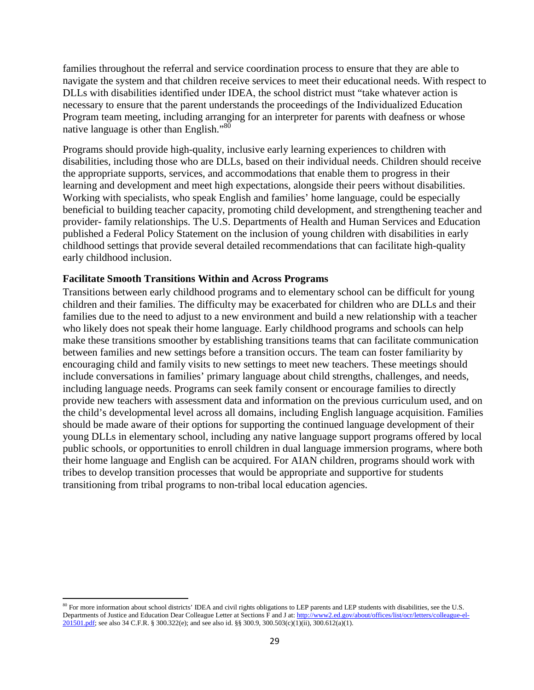families throughout the referral and service coordination process to ensure that they are able to navigate the system and that children receive services to meet their educational needs. With respect to DLLs with disabilities identified under IDEA, the school district must "take whatever action is necessary to ensure that the parent understands the proceedings of the Individualized Education Program team meeting, including arranging for an interpreter for parents with deafness or whose native la[ngu](#page-28-0)age is other than English."<sup>80</sup>

Programs should provide high-quality, inclusive early learning experiences to children with disabilities, including those who are DLLs, based on their individual needs. Children should receive the appropriate supports, services, and accommodations that enable them to progress in their learning and development and meet high expectations, alongside their peers without disabilities. Working with specialists, who speak English and families' home language, could be especially beneficial to building teacher capacity, promoting child development, and strengthening teacher and provider- family relationships. The U.S. Departments of Health and Human Services and Education published a Federal Policy Statement on the inclusion of young children with disabilities in early childhood settings that provide several detailed recommendations that can facilitate high-quality early childhood inclusion.

### **Facilitate Smooth Transitions Within and Across Programs**

Transitions between early childhood programs and to elementary school can be difficult for young children and their families. The difficulty may be exacerbated for children who are DLLs and their families due to the need to adjust to a new environment and build a new relationship with a teacher who likely does not speak their home language. Early childhood programs and schools can help make these transitions smoother by establishing transitions teams that can facilitate communication between families and new settings before a transition occurs. The team can foster familiarity by encouraging child and family visits to new settings to meet new teachers. These meetings should include conversations in families' primary language about child strengths, challenges, and needs, including language needs. Programs can seek family consent or encourage families to directly provide new teachers with assessment data and information on the previous curriculum used, and on the child's developmental level across all domains, including English language acquisition. Families should be made aware of their options for supporting the continued language development of their young DLLs in elementary school, including any native language support programs offered by local public schools, or opportunities to enroll children in dual language immersion programs, where both their home language and English can be acquired. For AIAN children, programs should work with tribes to develop transition processes that would be appropriate and supportive for students transitioning from tribal programs to non-tribal local education agencies.

<span id="page-28-0"></span><sup>&</sup>lt;sup>80</sup> For more information about school districts' IDEA and civil rights obligations to LEP parents and LEP students with disabilities, see the U.S. Departments of Justice and Education Dear Colleague Letter at Sections F and J at[: http://www2.ed.gov/about/offices/list/ocr/letters/colleague-el-](http://www2.ed.gov/about/offices/list/ocr/letters/colleague-el-201501.pdf)[201501.pdf;](http://www2.ed.gov/about/offices/list/ocr/letters/colleague-el-201501.pdf) see also 34 C.F.R. § 300.322(e); and see also id. §§ 300.9, 300.503(c)(1)(ii), 300.612(a)(1).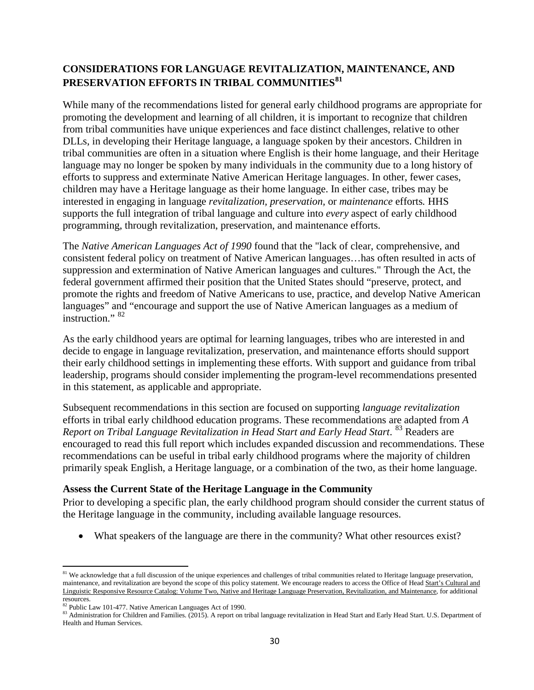## **CONSIDERATIONS FOR LANGUAGE REVITALIZATION, MAINTENANCE, AND PRESERVATION EFFORTS IN TRIBAL COMMUNITIES[81](#page-29-0)**

While many of the recommendations listed for general early childhood programs are appropriate for promoting the development and learning of all children, it is important to recognize that children from tribal communities have unique experiences and face distinct challenges, relative to other DLLs, in developing their Heritage language, a language spoken by their ancestors. Children in tribal communities are often in a situation where English is their home language, and their Heritage language may no longer be spoken by many individuals in the community due to a long history of efforts to suppress and exterminate Native American Heritage languages. In other, fewer cases, children may have a Heritage language as their home language. In either case, tribes may be interested in engaging in language *revitalization, preservation,* or *maintenance* efforts*.* HHS supports the full integration of tribal language and culture into *every* aspect of early childhood programming, through revitalization, preservation, and maintenance efforts.

The *Native American Languages Act of 1990* found that the "lack of clear, comprehensive, and consistent federal policy on treatment of Native American languages…has often resulted in acts of suppression and extermination of Native American languages and cultures." Through the Act, the federal government affirmed their position that the United States should "preserve, protect, and promote the rights and freedom of Native Americans to use, practice, and develop Native American languages" and "encourage and support the use of Native American languages as a medium of instruction." $82$ 

As the early childhood years are optimal for learning languages, tribes who are interested in and decide to engage in language revitalization, preservation, and maintenance efforts should support their early childhood settings in implementing these efforts. With support and guidance from tribal leadership, programs should consider implementing the program-level recommendations presented in this statement, as applicable and appropriate.

Subsequent recommendations in this section are focused on supporting *language revitalization* efforts in tribal early childhood education programs. These recommendations are adapted from *A Report on Tribal Language Revitalization in Head Start and Early Head Start.* <sup>[83](#page-29-2)</sup> Readers are encouraged to read this full report which includes expanded discussion and recommendations. These recommendations can be useful in tribal early childhood programs where the majority of children primarily speak English, a Heritage language, or a combination of the two, as their home language.

### **Assess the Current State of the Heritage Language in the Community**

Prior to developing a specific plan, the early childhood program should consider the current status of the Heritage language in the community, including available language resources.

• What speakers of the language are there in the community? What other resources exist?

 $\overline{\phantom{a}}$ 

<span id="page-29-0"></span><sup>&</sup>lt;sup>81</sup> We acknowledge that a full discussion of the unique experiences and challenges of tribal communities related to Heritage language preservation, maintenance, and revitalization are beyond the scope of this policy statement. We encourage readers to access the Office of Head Start's Cultural and [Linguistic Responsive Resource Catalog: Volume Two, Native and Heritage Language Preservation, Revitalization, and Maintenance,](http://eclkc.ohs.acf.hhs.gov/hslc/tta-system/cultural-linguistic/fcp/docs/resource-catalogue-main-book-4.pdf) for additional resources.<br><sup>82</sup> Public Law 101-477. Native American Languages Act of 1990.

<span id="page-29-2"></span><span id="page-29-1"></span><sup>83</sup> Administration for Children and Families. (2015). A report on tribal language revitalization in Head Start and Early Head Start. U.S. Department of Health and Human Services.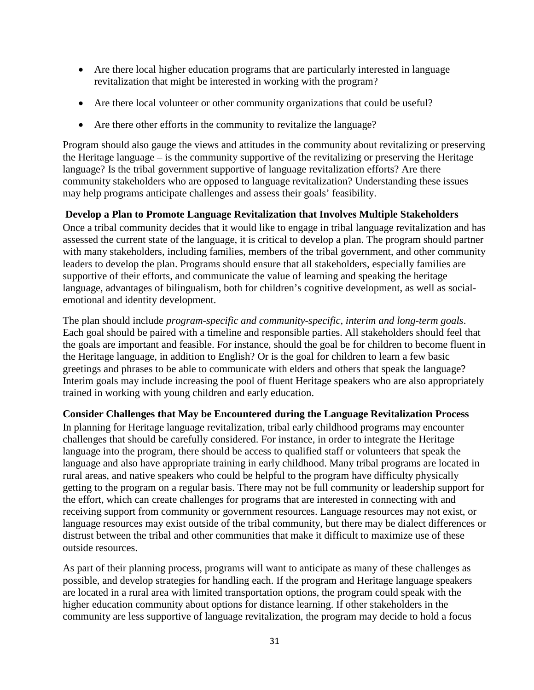- Are there local higher education programs that are particularly interested in language revitalization that might be interested in working with the program?
- Are there local volunteer or other community organizations that could be useful?
- Are there other efforts in the community to revitalize the language?

Program should also gauge the views and attitudes in the community about revitalizing or preserving the Heritage language – is the community supportive of the revitalizing or preserving the Heritage language? Is the tribal government supportive of language revitalization efforts? Are there community stakeholders who are opposed to language revitalization? Understanding these issues may help programs anticipate challenges and assess their goals' feasibility.

## **Develop a Plan to Promote Language Revitalization that Involves Multiple Stakeholders**

Once a tribal community decides that it would like to engage in tribal language revitalization and has assessed the current state of the language, it is critical to develop a plan. The program should partner with many stakeholders, including families, members of the tribal government, and other community leaders to develop the plan. Programs should ensure that all stakeholders, especially families are supportive of their efforts, and communicate the value of learning and speaking the heritage language, advantages of bilingualism, both for children's cognitive development, as well as socialemotional and identity development.

The plan should include *program-specific and community-specific, interim and long-term goals*. Each goal should be paired with a timeline and responsible parties. All stakeholders should feel that the goals are important and feasible. For instance, should the goal be for children to become fluent in the Heritage language, in addition to English? Or is the goal for children to learn a few basic greetings and phrases to be able to communicate with elders and others that speak the language? Interim goals may include increasing the pool of fluent Heritage speakers who are also appropriately trained in working with young children and early education.

### **Consider Challenges that May be Encountered during the Language Revitalization Process**

In planning for Heritage language revitalization, tribal early childhood programs may encounter challenges that should be carefully considered. For instance, in order to integrate the Heritage language into the program, there should be access to qualified staff or volunteers that speak the language and also have appropriate training in early childhood. Many tribal programs are located in rural areas, and native speakers who could be helpful to the program have difficulty physically getting to the program on a regular basis. There may not be full community or leadership support for the effort, which can create challenges for programs that are interested in connecting with and receiving support from community or government resources. Language resources may not exist, or language resources may exist outside of the tribal community, but there may be dialect differences or distrust between the tribal and other communities that make it difficult to maximize use of these outside resources.

As part of their planning process, programs will want to anticipate as many of these challenges as possible, and develop strategies for handling each. If the program and Heritage language speakers are located in a rural area with limited transportation options, the program could speak with the higher education community about options for distance learning. If other stakeholders in the community are less supportive of language revitalization, the program may decide to hold a focus